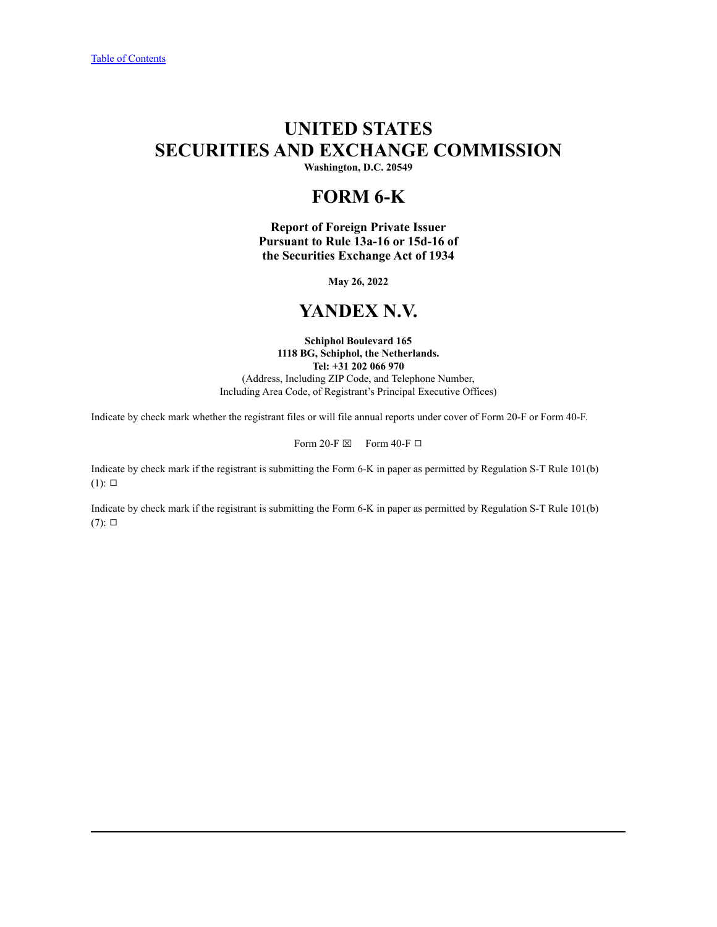# **UNITED STATES SECURITIES AND EXCHANGE COMMISSION**

**Washington, D.C. 20549**

# **FORM 6-K**

**Report of Foreign Private Issuer Pursuant to Rule 13a-16 or 15d-16 of the Securities Exchange Act of 1934**

**May 26, 2022**

# **YANDEX N.V.**

**Schiphol Boulevard 165 1118 BG, Schiphol, the Netherlands. Tel: +31 202 066 970** (Address, Including ZIP Code, and Telephone Number, Including Area Code, of Registrant's Principal Executive Offices)

Indicate by check mark whether the registrant files or will file annual reports under cover of Form 20-F or Form 40-F.

Form 20-F  $\boxtimes$  Form 40-F  $\Box$ 

Indicate by check mark if the registrant is submitting the Form 6-K in paper as permitted by Regulation S-T Rule 101(b)  $(1)$ :  $\square$ 

Indicate by check mark if the registrant is submitting the Form 6-K in paper as permitted by Regulation S-T Rule 101(b)  $(7)$ :  $\square$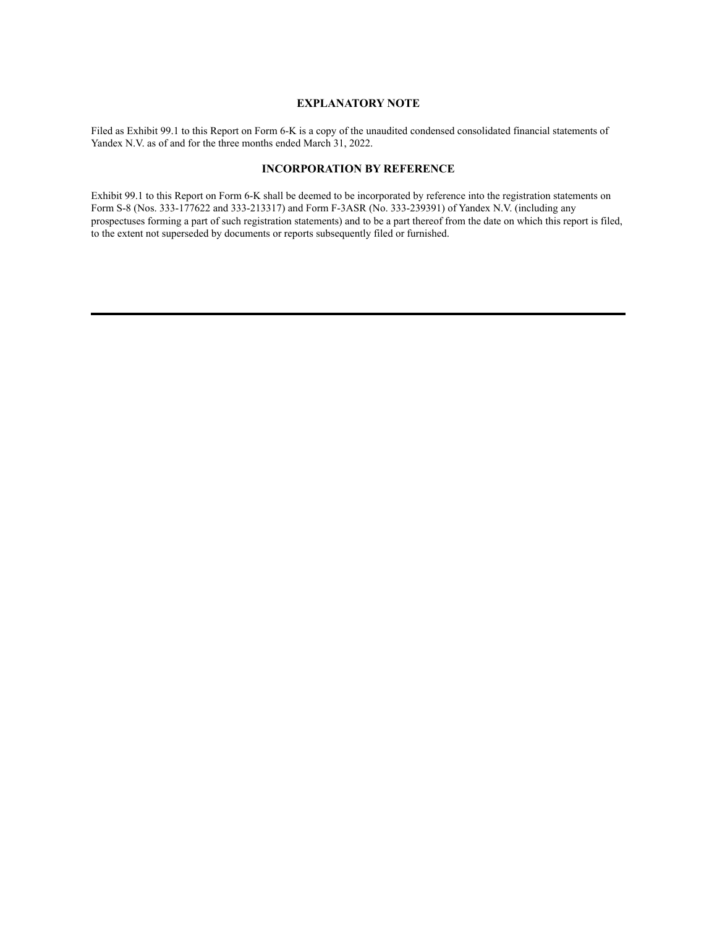# **EXPLANATORY NOTE**

Filed as Exhibit 99.1 to this Report on Form 6-K is a copy of the unaudited condensed consolidated financial statements of Yandex N.V. as of and for the three months ended March 31, 2022.

# **INCORPORATION BY REFERENCE**

Exhibit 99.1 to this Report on Form 6-K shall be deemed to be incorporated by reference into the registration statements on Form S-8 (Nos. 333-177622 and 333-213317) and Form F-3ASR (No. 333-239391) of Yandex N.V. (including any prospectuses forming a part of such registration statements) and to be a part thereof from the date on which this report is filed, to the extent not superseded by documents or reports subsequently filed or furnished.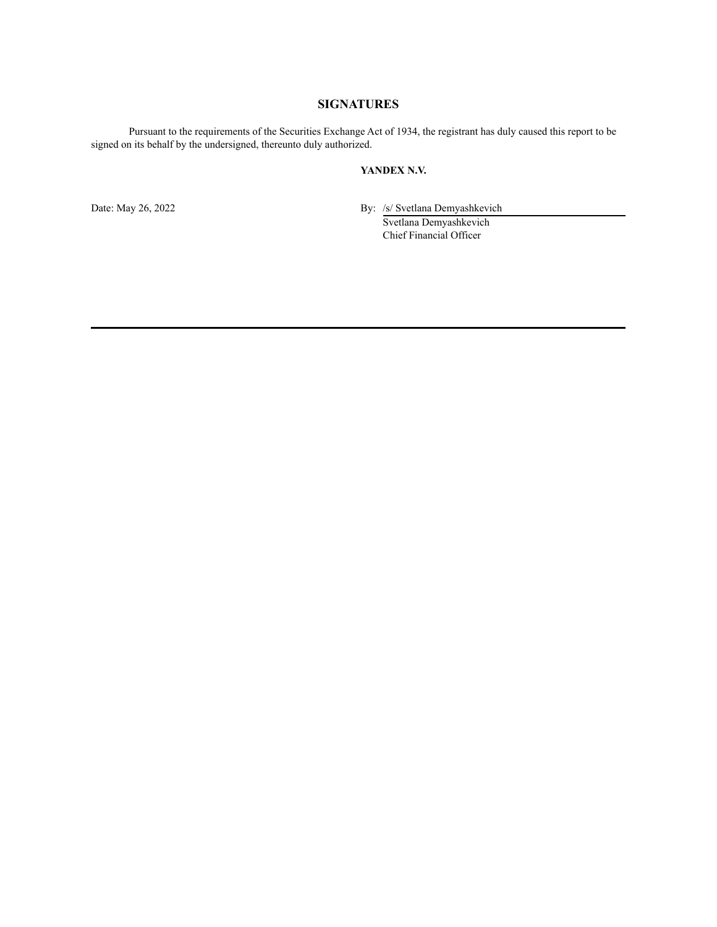# **SIGNATURES**

Pursuant to the requirements of the Securities Exchange Act of 1934, the registrant has duly caused this report to be signed on its behalf by the undersigned, thereunto duly authorized.

# **YANDEX N.V.**

Date: May 26, 2022 By: /s/ Svetlana Demyashkevich

Svetlana Demyashkevich Chief Financial Officer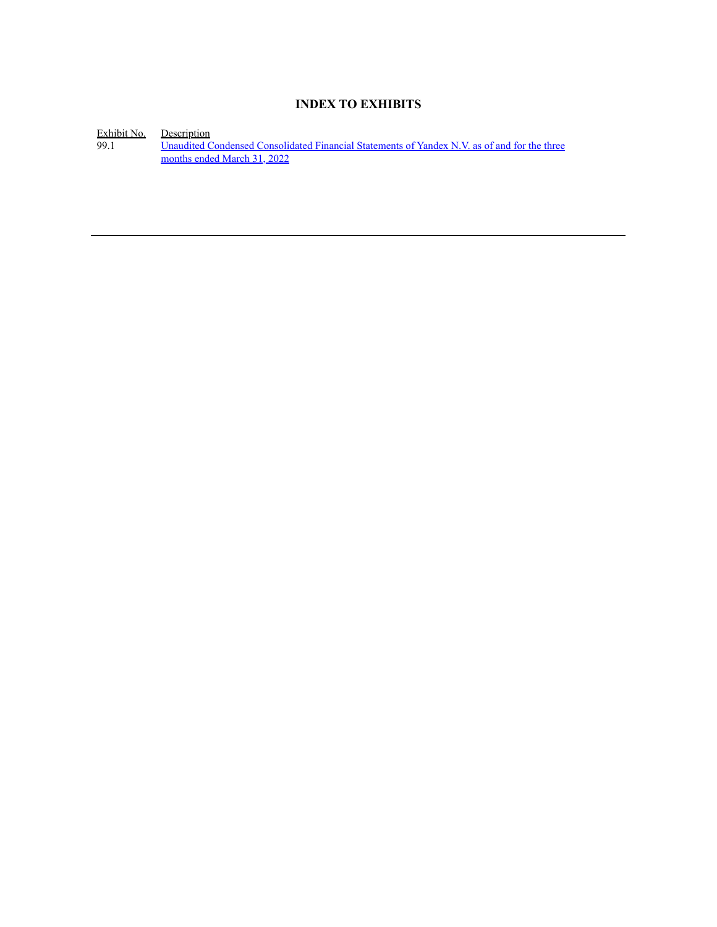# **INDEX TO EXHIBITS**

Exhibit No. Description

99.1 **Unaudited Condensed [Consolidated](#page-4-0) Financial Statements of Yandex N.V. as of and for the three** [months](#page-4-0) ended March 31, 2022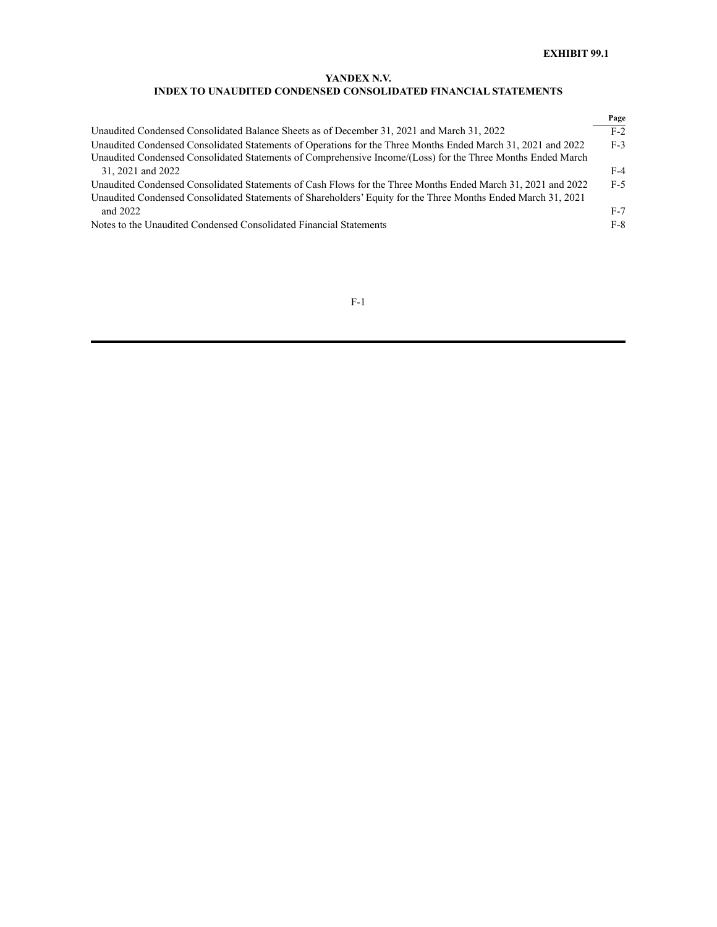# **INDEX TO UNAUDITED CONDENSED CONSOLIDATED FINANCIAL STATEMENTS**

<span id="page-4-0"></span>

|                                                                                                               | Page  |
|---------------------------------------------------------------------------------------------------------------|-------|
| Unaudited Condensed Consolidated Balance Sheets as of December 31, 2021 and March 31, 2022                    | $F-2$ |
| Unaudited Condensed Consolidated Statements of Operations for the Three Months Ended March 31, 2021 and 2022  | $F-3$ |
| Unaudited Condensed Consolidated Statements of Comprehensive Income/(Loss) for the Three Months Ended March   |       |
| 31, 2021 and 2022                                                                                             | $F-4$ |
| Unaudited Condensed Consolidated Statements of Cash Flows for the Three Months Ended March 31, 2021 and 2022  | $F-5$ |
| Unaudited Condensed Consolidated Statements of Shareholders' Equity for the Three Months Ended March 31, 2021 |       |
| and $2022$                                                                                                    | $F-7$ |
| Notes to the Unaudited Condensed Consolidated Financial Statements                                            | $F-8$ |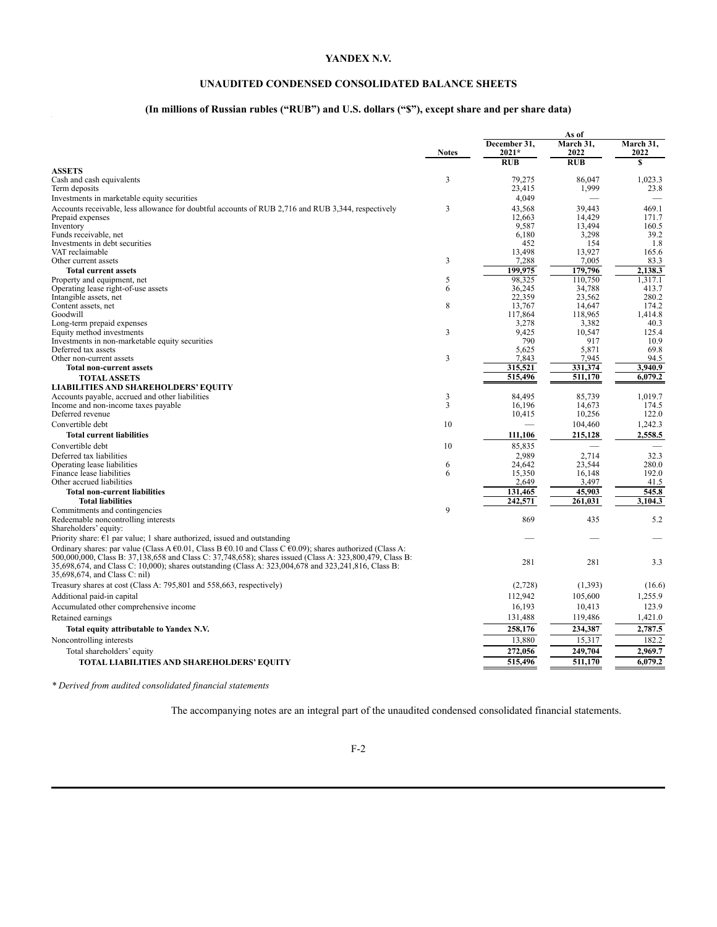# **UNAUDITED CONDENSED CONSOLIDATED BALANCE SHEETS**

# **(In millions of Russian rubles ("RUB") and U.S. dollars ("\$"), except share and per share data)**

|                                                                                                                                                                                                                      | <b>Notes</b>   | December 31,<br>$2021*$  | March 31,<br>2022 | March 31,<br>2022 |
|----------------------------------------------------------------------------------------------------------------------------------------------------------------------------------------------------------------------|----------------|--------------------------|-------------------|-------------------|
| <b>ASSETS</b>                                                                                                                                                                                                        |                | RUB                      | <b>RUB</b>        | S                 |
| Cash and cash equivalents                                                                                                                                                                                            | 3              | 79,275                   | 86.047            | 1,023.3           |
| Term deposits                                                                                                                                                                                                        |                | 23,415                   | 1,999             | 23.8              |
| Investments in marketable equity securities                                                                                                                                                                          |                | 4.049                    |                   |                   |
| Accounts receivable, less allowance for doubtful accounts of RUB 2,716 and RUB 3,344, respectively                                                                                                                   | 3              | 43,568                   | 39,443            | 469.1             |
| Prepaid expenses                                                                                                                                                                                                     |                | 12,663                   | 14,429            | 171.7             |
| Inventory                                                                                                                                                                                                            |                | 9,587                    | 13,494            | 160.5             |
| Funds receivable, net                                                                                                                                                                                                |                | 6.180                    | 3,298             | 39.2              |
| Investments in debt securities                                                                                                                                                                                       |                | 452                      | 154               | 1.8               |
| VAT reclaimable                                                                                                                                                                                                      |                | 13,498                   | 13,927            | 165.6             |
| Other current assets                                                                                                                                                                                                 | 3              | 7,288                    | 7,005             | 83.3              |
| <b>Total current assets</b>                                                                                                                                                                                          |                | 199.975                  | 179,796           | 2,138.3           |
| Property and equipment, net                                                                                                                                                                                          | 5              | 98,325                   | 110,750           | 1,317.1           |
| Operating lease right-of-use assets                                                                                                                                                                                  | 6              | 36,245                   | 34,788            | 413.7             |
| Intangible assets, net<br>Content assets, net                                                                                                                                                                        | 8              | 22,359<br>13,767         | 23,562<br>14,647  | 280.2<br>174.2    |
| Goodwill                                                                                                                                                                                                             |                | 117,864                  | 118,965           | 1,414.8           |
| Long-term prepaid expenses                                                                                                                                                                                           |                | 3,278                    | 3,382             | 40.3              |
| Equity method investments                                                                                                                                                                                            | $\overline{3}$ | 9.425                    | 10.547            | 125.4             |
| Investments in non-marketable equity securities                                                                                                                                                                      |                | 790                      | 917               | 10.9              |
| Deferred tax assets                                                                                                                                                                                                  |                | 5.625                    | 5.871             | 69.8              |
| Other non-current assets                                                                                                                                                                                             | 3              | 7,843                    | 7.945             | 94.5              |
| <b>Total non-current assets</b>                                                                                                                                                                                      |                | 315,521                  | 331,374           | 3.940.9           |
| <b>TOTAL ASSETS</b>                                                                                                                                                                                                  |                | 515,496                  | 511,170           | 6,079.2           |
| <b>LIABILITIES AND SHAREHOLDERS' EQUITY</b>                                                                                                                                                                          |                |                          |                   |                   |
| Accounts payable, accrued and other liabilities                                                                                                                                                                      | 3              | 84,495                   | 85,739            | 1,019.7           |
| Income and non-income taxes payable                                                                                                                                                                                  | 3              | 16.196                   | 14.673            | 174.5             |
| Deferred revenue                                                                                                                                                                                                     |                | 10,415                   | 10,256            | 122.0             |
| Convertible debt                                                                                                                                                                                                     | 10             | $\overline{\phantom{0}}$ | 104,460           | 1,242.3           |
| <b>Total current liabilities</b>                                                                                                                                                                                     |                | 111,106                  | 215,128           | 2,558.5           |
| Convertible debt                                                                                                                                                                                                     | 10             | 85,835                   |                   |                   |
| Deferred tax liabilities                                                                                                                                                                                             |                | 2.989                    | 2,714             | 32.3              |
| Operating lease liabilities                                                                                                                                                                                          | 6              | 24.642                   | 23.544            | 280.0             |
| Finance lease liabilities                                                                                                                                                                                            | 6              | 15,350                   | 16,148            | 192.0             |
| Other accrued liabilities                                                                                                                                                                                            |                | 2,649                    | 3,497             | 41.5              |
| <b>Total non-current liabilities</b>                                                                                                                                                                                 |                | 131,465                  | 45,903            | 545.8             |
| <b>Total liabilities</b>                                                                                                                                                                                             |                | 242,571                  | 261,031           | 3,104.3           |
| Commitments and contingencies                                                                                                                                                                                        | 9              |                          |                   |                   |
| Redeemable noncontrolling interests                                                                                                                                                                                  |                | 869                      | 435               | 5.2               |
| Shareholders' equity:                                                                                                                                                                                                |                |                          |                   |                   |
| Priority share: $E1$ par value; 1 share authorized, issued and outstanding<br>Ordinary shares: par value (Class A $\epsilon$ 0.01, Class B $\epsilon$ 0.10 and Class C $\epsilon$ 0.09); shares authorized (Class A: |                |                          |                   |                   |
| 500,000,000, Class B: 37,138,658 and Class C: 37,748,658); shares issued (Class A: 323,800,479, Class B:                                                                                                             |                |                          |                   |                   |
| 35,698,674, and Class C: 10,000); shares outstanding (Class A: 323,004,678 and 323,241,816, Class B:                                                                                                                 |                | 281                      | 281               | 3.3               |
| 35,698,674, and Class C: nil)                                                                                                                                                                                        |                |                          |                   |                   |
| Treasury shares at cost (Class A: 795,801 and 558,663, respectively)                                                                                                                                                 |                | (2,728)                  | (1,393)           | (16.6)            |
| Additional paid-in capital                                                                                                                                                                                           |                | 112,942                  | 105,600           | 1,255.9           |
| Accumulated other comprehensive income                                                                                                                                                                               |                | 16,193                   | 10,413            | 123.9             |
| Retained earnings                                                                                                                                                                                                    |                | 131,488                  | 119,486           | 1,421.0           |
|                                                                                                                                                                                                                      |                |                          |                   | 2,787.5           |
| Total equity attributable to Yandex N.V.                                                                                                                                                                             |                | 258,176                  | 234,387           |                   |
| Noncontrolling interests                                                                                                                                                                                             |                | 13,880                   | 15,317            | 182.2             |
| Total shareholders' equity                                                                                                                                                                                           |                | 272,056                  | 249,704           | 2,969.7           |
| TOTAL LIABILITIES AND SHAREHOLDERS' EQUITY                                                                                                                                                                           |                | 515,496                  | 511,170           | 6,079.2           |

*\* Derived from audited consolidated financial statements*

The accompanying notes are an integral part of the unaudited condensed consolidated financial statements.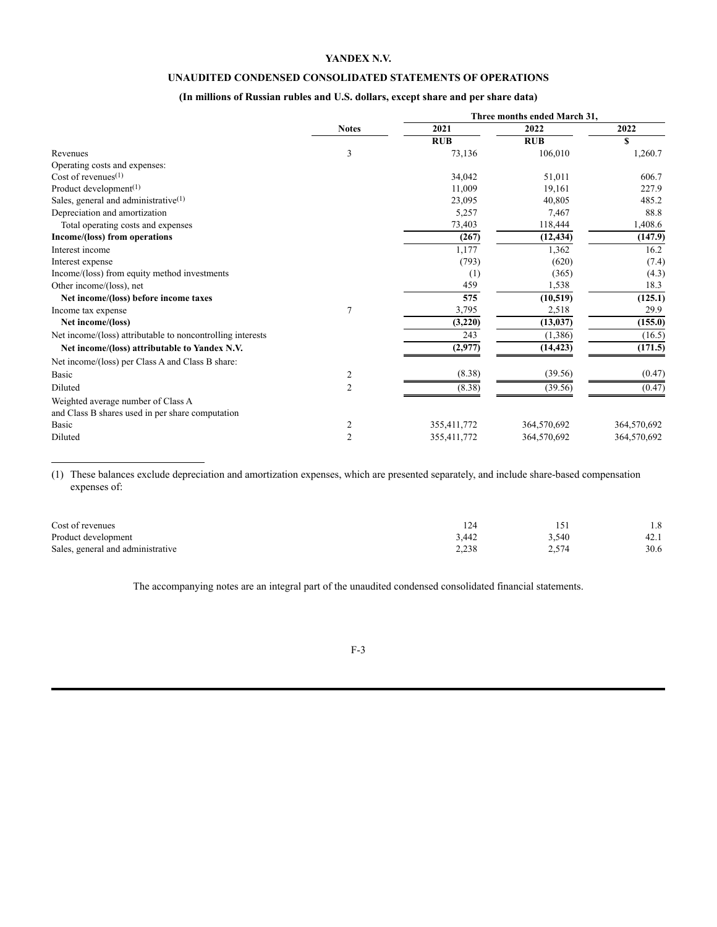# **UNAUDITED CONDENSED CONSOLIDATED STATEMENTS OF OPERATIONS**

# **(In millions of Russian rubles and U.S. dollars, except share and per share data)**

|                                                            |                | Three months ended March 31, |                        |             |  |  |  |
|------------------------------------------------------------|----------------|------------------------------|------------------------|-------------|--|--|--|
|                                                            | <b>Notes</b>   | 2021                         | 2022                   | 2022        |  |  |  |
|                                                            |                | <b>RUB</b>                   | <b>RUB</b>             | S           |  |  |  |
| Revenues                                                   | 3              | 73,136                       | 106,010                | 1,260.7     |  |  |  |
| Operating costs and expenses:                              |                |                              |                        |             |  |  |  |
| Cost of revenues $(1)$                                     |                | 34,042                       | 51,011                 | 606.7       |  |  |  |
| Product development $(1)$                                  |                | 11,009                       | 19,161                 | 227.9       |  |  |  |
| Sales, general and administrative <sup>(1)</sup>           |                | 23,095                       | 40,805                 | 485.2       |  |  |  |
| Depreciation and amortization                              |                | 5,257                        | 7,467                  | 88.8        |  |  |  |
| Total operating costs and expenses                         |                | 73,403                       | 118,444                | 1,408.6     |  |  |  |
| Income/(loss) from operations                              |                | (267)                        | $(12, 43\overline{4})$ | (147.9)     |  |  |  |
| Interest income                                            |                | 1,177                        | 1,362                  | 16.2        |  |  |  |
| Interest expense                                           |                | (793)                        | (620)                  | (7.4)       |  |  |  |
| Income/(loss) from equity method investments               |                | (1)                          | (365)                  | (4.3)       |  |  |  |
| Other income/(loss), net                                   |                | 459                          | 1,538                  | 18.3        |  |  |  |
| Net income/(loss) before income taxes                      |                | 575                          | (10, 519)              | (125.1)     |  |  |  |
| Income tax expense                                         | 7              | 3,795                        | 2,518                  | 29.9        |  |  |  |
| Net income/(loss)                                          |                | (3,220)                      | (13, 037)              | (155.0)     |  |  |  |
| Net income/(loss) attributable to noncontrolling interests |                | 243                          | (1,386)                | (16.5)      |  |  |  |
| Net income/(loss) attributable to Yandex N.V.              |                | (2,977)                      | (14, 423)              | (171.5)     |  |  |  |
| Net income/(loss) per Class A and Class B share:           |                |                              |                        |             |  |  |  |
| <b>Basic</b>                                               | 2              | (8.38)                       | (39.56)                | (0.47)      |  |  |  |
| Diluted                                                    | 2              | (8.38)                       | (39.56)                | (0.47)      |  |  |  |
| Weighted average number of Class A                         |                |                              |                        |             |  |  |  |
| and Class B shares used in per share computation           |                |                              |                        |             |  |  |  |
| Basic                                                      | 2              | 355,411,772                  | 364,570,692            | 364,570,692 |  |  |  |
| Diluted                                                    | $\overline{2}$ | 355,411,772                  | 364,570,692            | 364,570,692 |  |  |  |

(1) These balances exclude depreciation and amortization expenses, which are presented separately, and include share-based compensation expenses of:

| Cost of revenues                  |       |       | 1.8  |
|-----------------------------------|-------|-------|------|
| Product development               | 3,442 | 3.540 | 42.1 |
| Sales, general and administrative | 2,238 | 2.574 | 30.6 |

The accompanying notes are an integral part of the unaudited condensed consolidated financial statements.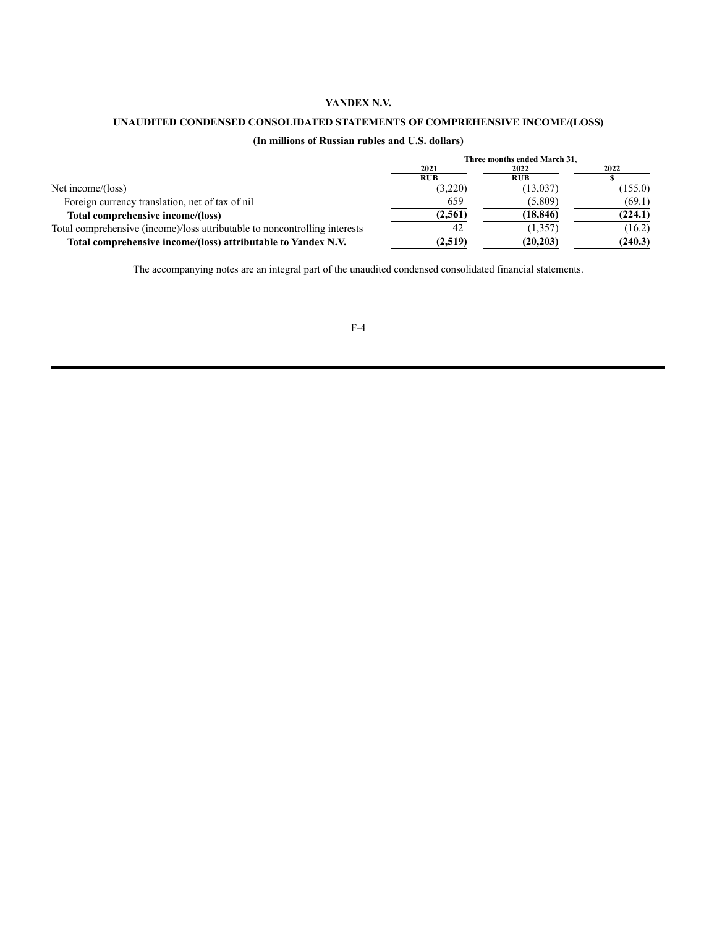# **UNAUDITED CONDENSED CONSOLIDATED STATEMENTS OF COMPREHENSIVE INCOME/(LOSS)**

# **(In millions of Russian rubles and U.S. dollars)**

|                                                                            | Three months ended March 31. |            |         |  |  |
|----------------------------------------------------------------------------|------------------------------|------------|---------|--|--|
|                                                                            | 2021                         | 2022       | 2022    |  |  |
|                                                                            | <b>RUB</b>                   | <b>RUB</b> |         |  |  |
| Net income/(loss)                                                          | (3,220)                      | (13,037)   | (155.0) |  |  |
| Foreign currency translation, net of tax of nil                            | 659                          | (5,809)    | (69.1)  |  |  |
| Total comprehensive income/(loss)                                          | (2.561)                      | (18, 846)  | (224.1) |  |  |
| Total comprehensive (income)/loss attributable to noncontrolling interests | 42                           | (1, 357)   | (16.2)  |  |  |
| Total comprehensive income/(loss) attributable to Yandex N.V.              | (2,519)                      | (20, 203)  | (240.3) |  |  |

The accompanying notes are an integral part of the unaudited condensed consolidated financial statements.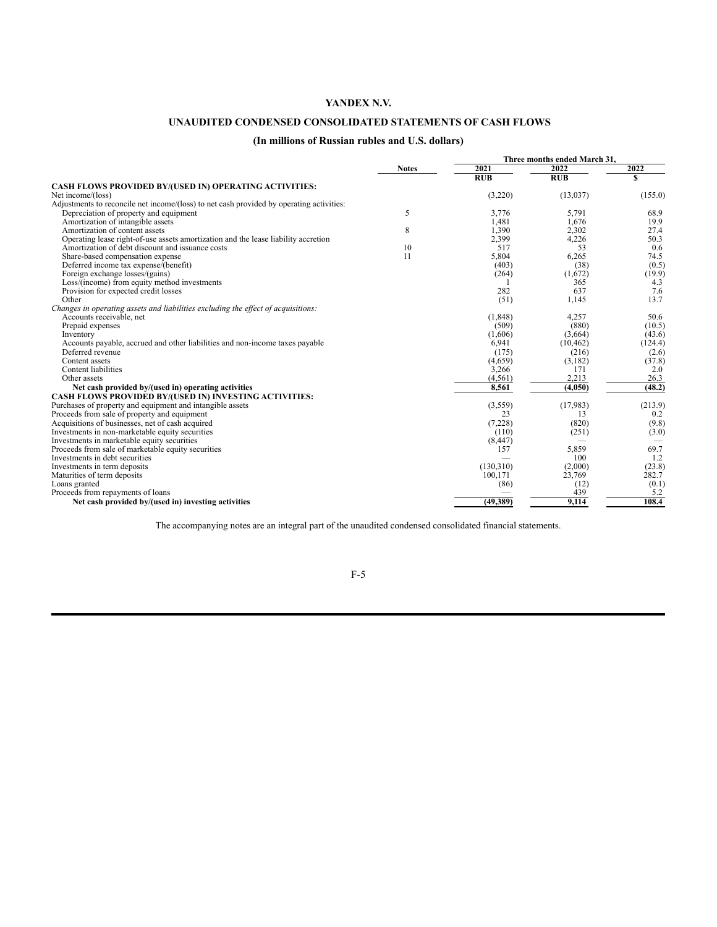# **UNAUDITED CONDENSED CONSOLIDATED STATEMENTS OF CASH FLOWS**

# **(In millions of Russian rubles and U.S. dollars)**

|                                                                                          |              |           | Three months ended March 31. |         |  |
|------------------------------------------------------------------------------------------|--------------|-----------|------------------------------|---------|--|
|                                                                                          | <b>Notes</b> | 2021      | 2022                         | 2022    |  |
|                                                                                          |              | RUB       | <b>RUB</b>                   |         |  |
| CASH FLOWS PROVIDED BY/(USED IN) OPERATING ACTIVITIES:                                   |              |           |                              |         |  |
| Net income/(loss)                                                                        |              | (3,220)   | (13, 037)                    | (155.0) |  |
| Adjustments to reconcile net income/(loss) to net cash provided by operating activities: |              |           |                              |         |  |
| Depreciation of property and equipment                                                   | 5            | 3,776     | 5,791                        | 68.9    |  |
| Amortization of intangible assets                                                        |              | 1.481     | 1.676                        | 19.9    |  |
| Amortization of content assets                                                           | 8            | 1,390     | 2,302                        | 27.4    |  |
| Operating lease right-of-use assets amortization and the lease liability accretion       |              | 2,399     | 4,226                        | 50.3    |  |
| Amortization of debt discount and issuance costs                                         | 10           | 517       | 53                           | 0.6     |  |
| Share-based compensation expense                                                         | 11           | 5,804     | 6,265                        | 74.5    |  |
| Deferred income tax expense/(benefit)                                                    |              | (403)     | (38)                         | (0.5)   |  |
| Foreign exchange losses/(gains)                                                          |              | (264)     | (1,672)                      | (19.9)  |  |
| Loss/(income) from equity method investments                                             |              |           | 365                          | 4.3     |  |
| Provision for expected credit losses                                                     |              | 282       | 637                          | 7.6     |  |
| Other                                                                                    |              | (51)      | 1,145                        | 13.7    |  |
| Changes in operating assets and liabilities excluding the effect of acquisitions:        |              |           |                              |         |  |
| Accounts receivable, net                                                                 |              | (1, 848)  | 4.257                        | 50.6    |  |
| Prepaid expenses                                                                         |              | (509)     | (880)                        | (10.5)  |  |
| Inventory                                                                                |              | (1,606)   | (3,664)                      | (43.6)  |  |
| Accounts payable, accrued and other liabilities and non-income taxes payable             |              | 6,941     | (10, 462)                    | (124.4) |  |
| Deferred revenue                                                                         |              | (175)     | (216)                        | (2.6)   |  |
| Content assets                                                                           |              | (4,659)   | (3,182)                      | (37.8)  |  |
| Content liabilities                                                                      |              | 3,266     | 171                          | 2.0     |  |
| Other assets                                                                             |              | (4, 561)  | 2,213                        | 26.3    |  |
| Net cash provided by/(used in) operating activities                                      |              | 8.561     | (4,050)                      | (48.2)  |  |
| CASH FLOWS PROVIDED BY/(USED IN) INVESTING ACTIVITIES:                                   |              |           |                              |         |  |
| Purchases of property and equipment and intangible assets                                |              | (3,559)   | (17,983)                     | (213.9) |  |
| Proceeds from sale of property and equipment                                             |              | 23        | 13                           | 0.2     |  |
| Acquisitions of businesses, net of cash acquired                                         |              | (7,228)   | (820)                        | (9.8)   |  |
| Investments in non-marketable equity securities                                          |              | (110)     | (251)                        | (3.0)   |  |
| Investments in marketable equity securities                                              |              | (8, 447)  |                              |         |  |
| Proceeds from sale of marketable equity securities                                       |              | 157       | 5,859                        | 69.7    |  |
| Investments in debt securities                                                           |              |           | 100                          | 1.2     |  |
| Investments in term deposits                                                             |              | (130,310) | (2,000)                      | (23.8)  |  |
| Maturities of term deposits                                                              |              | 100,171   | 23,769                       | 282.7   |  |
| Loans granted                                                                            |              | (86)      | (12)                         | (0.1)   |  |
| Proceeds from repayments of loans                                                        |              |           | 439                          | 5.2     |  |
| Net cash provided by/(used in) investing activities                                      |              | (49,389)  | 9,114                        | 108.4   |  |
|                                                                                          |              |           |                              |         |  |

The accompanying notes are an integral part of the unaudited condensed consolidated financial statements.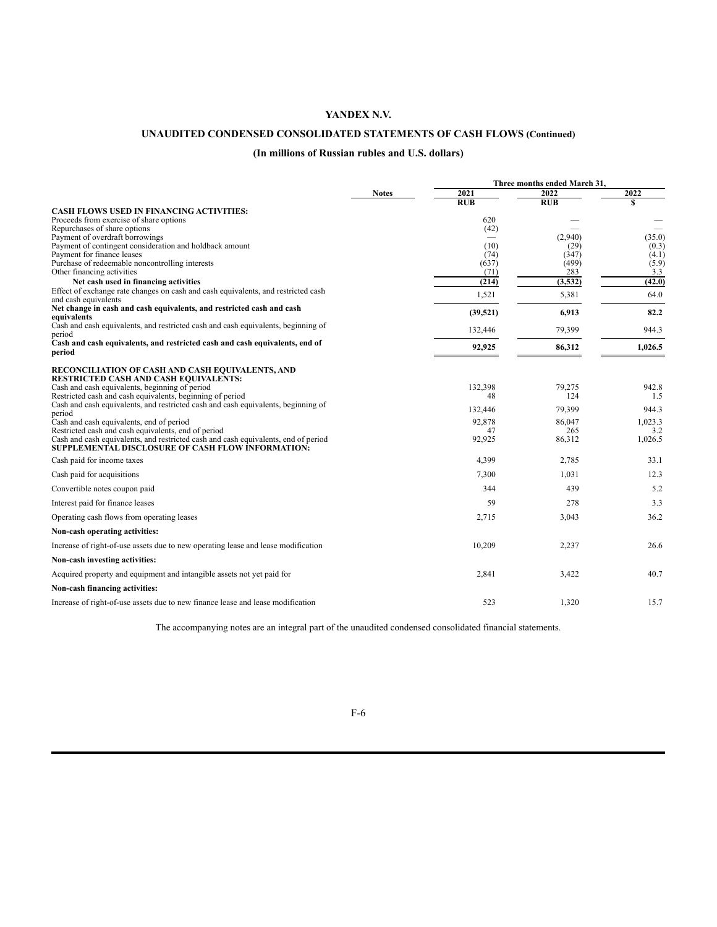# **UNAUDITED CONDENSED CONSOLIDATED STATEMENTS OF CASH FLOWS (Continued)**

# **(In millions of Russian rubles and U.S. dollars)**

|                                                                                                           |              | Three months ended March 31, |            |         |
|-----------------------------------------------------------------------------------------------------------|--------------|------------------------------|------------|---------|
|                                                                                                           | <b>Notes</b> | 2021                         | 2022       | 2022    |
|                                                                                                           |              | RUB                          | <b>RUB</b> | S       |
| <b>CASH FLOWS USED IN FINANCING ACTIVITIES:</b><br>Proceeds from exercise of share options                |              | 620                          |            |         |
| Repurchases of share options                                                                              |              | (42)                         |            |         |
| Payment of overdraft borrowings                                                                           |              |                              | (2,940)    | (35.0)  |
| Payment of contingent consideration and holdback amount                                                   |              | (10)                         | (29)       | (0.3)   |
| Payment for finance leases                                                                                |              | (74)                         | (347)      | (4.1)   |
| Purchase of redeemable noncontrolling interests                                                           |              | (637)                        | (499)      | (5.9)   |
| Other financing activities                                                                                |              | (71)                         | 283        | 3.3     |
| Net cash used in financing activities                                                                     |              | (214)                        | (3,532)    | (42.0)  |
| Effect of exchange rate changes on cash and cash equivalents, and restricted cash<br>and cash equivalents |              | 1,521                        | 5,381      | 64.0    |
| Net change in cash and cash equivalents, and restricted cash and cash                                     |              |                              |            | 82.2    |
| equivalents                                                                                               |              | (39, 521)                    | 6,913      |         |
| Cash and cash equivalents, and restricted cash and cash equivalents, beginning of                         |              | 132,446                      | 79,399     | 944.3   |
| period<br>Cash and cash equivalents, and restricted cash and cash equivalents, end of                     |              |                              |            |         |
| period                                                                                                    |              | 92,925                       | 86,312     | 1,026.5 |
| RECONCILIATION OF CASH AND CASH EQUIVALENTS, AND                                                          |              |                              |            |         |
| RESTRICTED CASH AND CASH EQUIVALENTS:                                                                     |              |                              |            |         |
| Cash and cash equivalents, beginning of period                                                            |              | 132,398                      | 79,275     | 942.8   |
| Restricted cash and cash equivalents, beginning of period                                                 |              | 48                           | 124        | 1.5     |
| Cash and cash equivalents, and restricted cash and cash equivalents, beginning of<br>period               |              | 132,446                      | 79,399     | 944.3   |
| Cash and cash equivalents, end of period                                                                  |              | 92,878                       | 86,047     | 1,023.3 |
| Restricted cash and cash equivalents, end of period                                                       |              | 47                           | 265        | 3.2     |
| Cash and cash equivalents, and restricted cash and cash equivalents, end of period                        |              | 92,925                       | 86,312     | 1,026.5 |
| <b>SUPPLEMENTAL DISCLOSURE OF CASH FLOW INFORMATION:</b>                                                  |              |                              |            |         |
| Cash paid for income taxes                                                                                |              | 4,399                        | 2,785      | 33.1    |
| Cash paid for acquisitions                                                                                |              | 7,300                        | 1,031      | 12.3    |
| Convertible notes coupon paid                                                                             |              | 344                          | 439        | 5.2     |
| Interest paid for finance leases                                                                          |              | 59                           | 278        | 3.3     |
| Operating cash flows from operating leases                                                                |              | 2,715                        | 3,043      | 36.2    |
| Non-cash operating activities:                                                                            |              |                              |            |         |
| Increase of right-of-use assets due to new operating lease and lease modification                         |              | 10,209                       | 2,237      | 26.6    |
| Non-cash investing activities:                                                                            |              |                              |            |         |
| Acquired property and equipment and intangible assets not yet paid for                                    |              | 2,841                        | 3,422      | 40.7    |
| Non-cash financing activities:                                                                            |              |                              |            |         |
| Increase of right-of-use assets due to new finance lease and lease modification                           |              | 523                          | 1.320      | 15.7    |

The accompanying notes are an integral part of the unaudited condensed consolidated financial statements.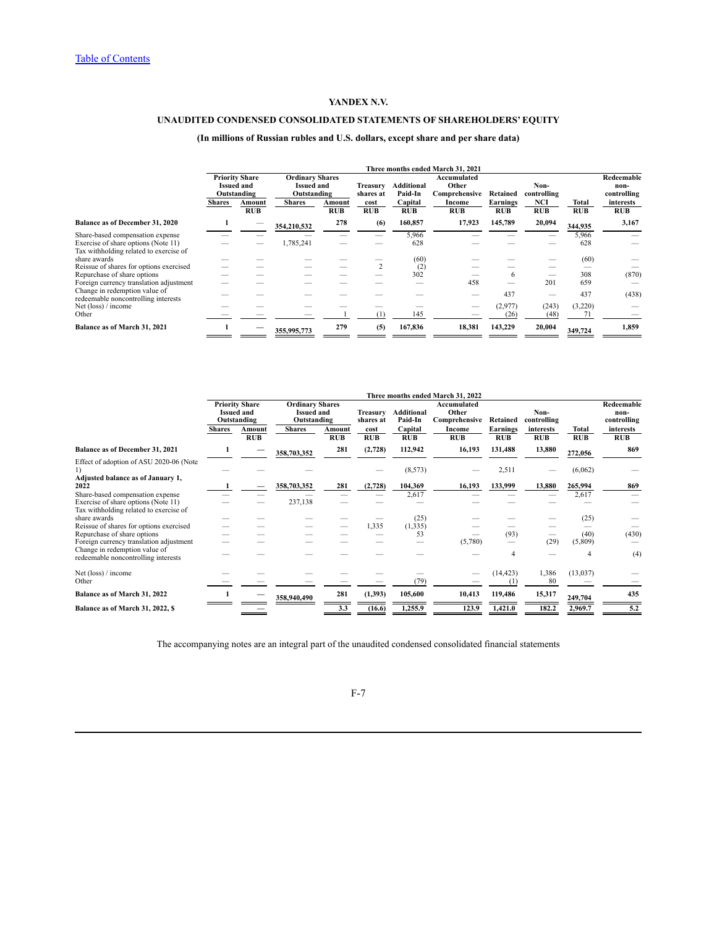# **UNAUDITED CONDENSED CONSOLIDATED STATEMENTS OF SHAREHOLDERS' EQUITY**

# **(In millions of Russian rubles and U.S. dollars, except share and per share data)**

|                                                                               |                                                           | Three months ended March 31, 2021 |                                                                                     |                      |                                                                       |                       |                      |                        |                          |                                   |                         |
|-------------------------------------------------------------------------------|-----------------------------------------------------------|-----------------------------------|-------------------------------------------------------------------------------------|----------------------|-----------------------------------------------------------------------|-----------------------|----------------------|------------------------|--------------------------|-----------------------------------|-------------------------|
|                                                                               | <b>Priority Share</b><br><b>Issued and</b><br>Outstanding |                                   | <b>Ordinary Shares</b><br><b>Issued and</b><br>Treasurv<br>Outstanding<br>shares at |                      | Accumulated<br>Other<br><b>Additional</b><br>Paid-In<br>Comprehensive |                       | Retained             | Non-<br>controlling    |                          | Redeemable<br>non-<br>controlling |                         |
|                                                                               | <b>Shares</b>                                             | Amount<br><b>RUB</b>              | <b>Shares</b>                                                                       | Amount<br><b>RUB</b> | cost<br><b>RUB</b>                                                    | Capital<br><b>RUB</b> | Income<br><b>RUB</b> | Earnings<br><b>RUB</b> | <b>NCI</b><br><b>RUB</b> | Total<br><b>RUB</b>               | interests<br><b>RUB</b> |
| Balance as of December 31, 2020                                               |                                                           |                                   | 354,210,532                                                                         | 278                  | (6)                                                                   | 160,857               | 17,923               | 145,789                | 20,094                   | 344,935                           | 3,167                   |
| Share-based compensation expense                                              |                                                           |                                   |                                                                                     |                      |                                                                       | 5,966                 |                      |                        |                          | 5,966                             |                         |
| Exercise of share options (Note 11)<br>Tax withholding related to exercise of |                                                           |                                   | 1,785,241                                                                           |                      |                                                                       | 628                   |                      |                        |                          | 628                               |                         |
| share awards                                                                  |                                                           |                                   |                                                                                     |                      |                                                                       | (60)                  |                      |                        |                          | (60)                              |                         |
| Reissue of shares for options exercised                                       |                                                           |                                   |                                                                                     |                      | $\mathcal{L}$                                                         | (2)                   |                      |                        |                          |                                   |                         |
| Repurchase of share options                                                   |                                                           |                                   |                                                                                     |                      |                                                                       | 302                   |                      | 6                      |                          | 308                               | (870)                   |
| Foreign currency translation adjustment                                       |                                                           |                                   |                                                                                     |                      |                                                                       |                       | 458                  |                        | 201                      | 659                               |                         |
| Change in redemption value of<br>redeemable noncontrolling interests          |                                                           |                                   |                                                                                     |                      |                                                                       |                       |                      | 437                    |                          | 437                               | (438)                   |
| Net (loss) / income                                                           |                                                           |                                   |                                                                                     |                      |                                                                       |                       |                      | (2,977)                | (243)                    | (3,220)                           |                         |
| Other                                                                         |                                                           |                                   |                                                                                     |                      | Œ                                                                     | 145                   |                      | (26)                   | (48)                     |                                   |                         |
| Balance as of March 31, 2021                                                  |                                                           |                                   | 355,995,773                                                                         | 279                  | (5)                                                                   | 167,836               | 18.381               | 143,229                | 20,004                   | 349,724                           | 1,859                   |

|                                                                               | Three months ended March 31, 2022                         |                      |                                                            |                      |                       |                              |                                       |                               |                         |              |                                   |
|-------------------------------------------------------------------------------|-----------------------------------------------------------|----------------------|------------------------------------------------------------|----------------------|-----------------------|------------------------------|---------------------------------------|-------------------------------|-------------------------|--------------|-----------------------------------|
|                                                                               | <b>Priority Share</b><br><b>Issued and</b><br>Outstanding |                      | <b>Ordinary Shares</b><br><b>Issued and</b><br>Outstanding |                      | Treasurv<br>shares at | <b>Additional</b><br>Paid-In | Accumulated<br>Other<br>Comprehensive | Retained                      | Non-<br>controlling     |              | Redeemable<br>non-<br>controlling |
|                                                                               | <b>Shares</b>                                             | Amount<br><b>RUB</b> | <b>Shares</b>                                              | Amount<br><b>RUB</b> | cost<br><b>RUB</b>    | Capital<br><b>RUB</b>        | Income<br>RUB                         | <b>Earnings</b><br><b>RUB</b> | interests<br><b>RUB</b> | Total<br>RUB | interests<br><b>RUB</b>           |
| <b>Balance as of December 31, 2021</b>                                        |                                                           |                      | 358,703,352                                                | 281                  | (2,728)               | 112,942                      | 16,193                                | 131,488                       | 13,880                  | 272,056      | 869                               |
| Effect of adoption of ASU 2020-06 (Note<br>1)                                 |                                                           |                      |                                                            |                      |                       | (8, 573)                     |                                       | 2,511                         |                         | (6,062)      |                                   |
| Adjusted balance as of January 1,<br>2022                                     |                                                           |                      | 358,703,352                                                | 281                  | (2,728)               | 104,369                      | 16,193                                | 133,999                       | 13,880                  | 265,994      | 869                               |
| Share-based compensation expense                                              |                                                           |                      |                                                            |                      |                       | 2,617                        |                                       |                               |                         | 2,617        |                                   |
| Exercise of share options (Note 11)<br>Tax withholding related to exercise of |                                                           |                      | 237,138                                                    |                      |                       |                              |                                       |                               |                         |              |                                   |
| share awards                                                                  |                                                           |                      |                                                            |                      |                       | (25)                         |                                       |                               |                         | (25)         |                                   |
| Reissue of shares for options exercised                                       |                                                           |                      |                                                            |                      | 1,335                 | (1, 335)                     |                                       |                               |                         |              |                                   |
| Repurchase of share options                                                   |                                                           |                      |                                                            |                      |                       | 53                           |                                       | (93)                          |                         | (40)         | (430)                             |
| Foreign currency translation adjustment                                       |                                                           |                      |                                                            |                      |                       |                              | (5,780)                               |                               | (29)                    | (5,809)      |                                   |
| Change in redemption value of<br>redeemable noncontrolling interests          |                                                           |                      |                                                            |                      |                       |                              |                                       | $\overline{4}$                |                         | 4            | (4)                               |
| Net (loss) / income                                                           |                                                           |                      |                                                            |                      |                       |                              | -                                     | (14, 423)                     | 1,386                   | (13, 037)    |                                   |
| Other                                                                         |                                                           |                      |                                                            |                      |                       | (79)                         |                                       | (1)                           | 80                      |              |                                   |
| Balance as of March 31, 2022                                                  |                                                           |                      | 358,940,490                                                | 281                  | (1,393)               | 105,600                      | 10,413                                | 119,486                       | 15,317                  | 249,704      | 435                               |
| Balance as of March 31, 2022, \$                                              |                                                           |                      |                                                            | 3.3                  | (16.6)                | 1,255.9                      | 123.9                                 | 1,421.0                       | 182.2                   | 2,969.7      | 5.2                               |

The accompanying notes are an integral part of the unaudited condensed consolidated financial statements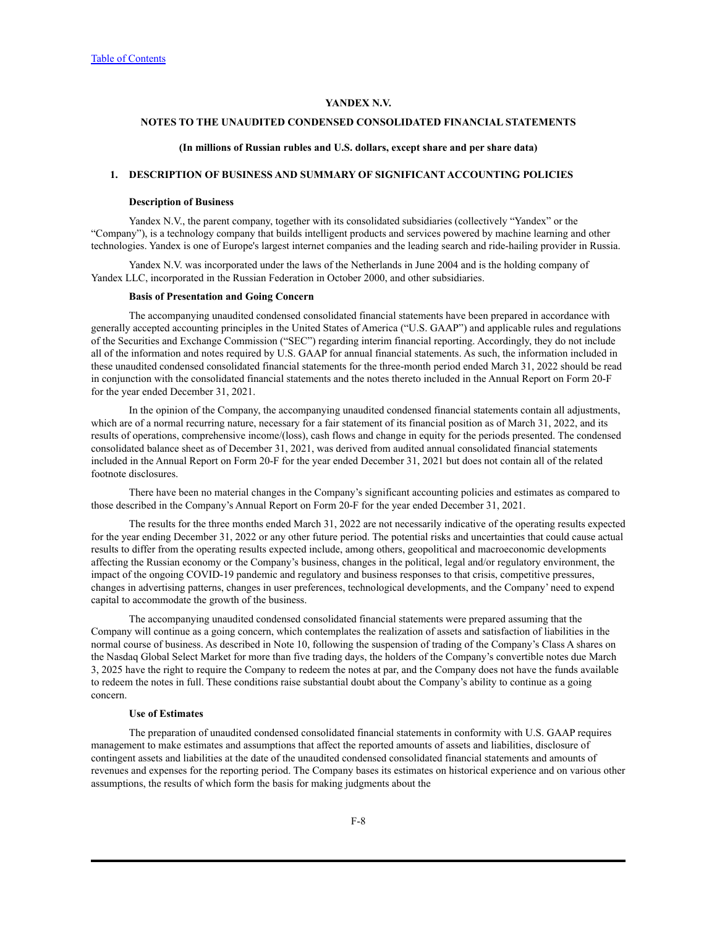# **NOTES TO THE UNAUDITED CONDENSED CONSOLIDATED FINANCIAL STATEMENTS**

#### **(In millions of Russian rubles and U.S. dollars, except share and per share data)**

# **1. DESCRIPTION OF BUSINESS AND SUMMARY OF SIGNIFICANT ACCOUNTING POLICIES**

#### **Description of Business**

Yandex N.V., the parent company, together with its consolidated subsidiaries (collectively "Yandex" or the "Company"), is a technology company that builds intelligent products and services powered by machine learning and other technologies. Yandex is one of Europe's largest internet companies and the leading search and ride-hailing provider in Russia.

Yandex N.V. was incorporated under the laws of the Netherlands in June 2004 and is the holding company of Yandex LLC, incorporated in the Russian Federation in October 2000, and other subsidiaries.

#### **Basis of Presentation and Going Concern**

The accompanying unaudited condensed consolidated financial statements have been prepared in accordance with generally accepted accounting principles in the United States of America ("U.S. GAAP") and applicable rules and regulations of the Securities and Exchange Commission ("SEC") regarding interim financial reporting. Accordingly, they do not include all of the information and notes required by U.S. GAAP for annual financial statements. As such, the information included in these unaudited condensed consolidated financial statements for the three-month period ended March 31, 2022 should be read in conjunction with the consolidated financial statements and the notes thereto included in the Annual Report on Form 20-F for the year ended December 31, 2021.

In the opinion of the Company, the accompanying unaudited condensed financial statements contain all adjustments, which are of a normal recurring nature, necessary for a fair statement of its financial position as of March 31, 2022, and its results of operations, comprehensive income/(loss), cash flows and change in equity for the periods presented. The condensed consolidated balance sheet as of December 31, 2021, was derived from audited annual consolidated financial statements included in the Annual Report on Form 20-F for the year ended December 31, 2021 but does not contain all of the related footnote disclosures.

There have been no material changes in the Company's significant accounting policies and estimates as compared to those described in the Company's Annual Report on Form 20-F for the year ended December 31, 2021.

The results for the three months ended March 31, 2022 are not necessarily indicative of the operating results expected for the year ending December 31, 2022 or any other future period. The potential risks and uncertainties that could cause actual results to differ from the operating results expected include, among others, geopolitical and macroeconomic developments affecting the Russian economy or the Company's business, changes in the political, legal and/or regulatory environment, the impact of the ongoing COVID-19 pandemic and regulatory and business responses to that crisis, competitive pressures, changes in advertising patterns, changes in user preferences, technological developments, and the Company' need to expend capital to accommodate the growth of the business.

The accompanying unaudited condensed consolidated financial statements were prepared assuming that the Company will continue as a going concern, which contemplates the realization of assets and satisfaction of liabilities in the normal course of business. As described in Note 10, following the suspension of trading of the Company's Class A shares on the Nasdaq Global Select Market for more than five trading days, the holders of the Company's convertible notes due March 3, 2025 have the right to require the Company to redeem the notes at par, and the Company does not have the funds available to redeem the notes in full. These conditions raise substantial doubt about the Company's ability to continue as a going concern.

#### **Use of Estimates**

The preparation of unaudited condensed consolidated financial statements in conformity with U.S. GAAP requires management to make estimates and assumptions that affect the reported amounts of assets and liabilities, disclosure of contingent assets and liabilities at the date of the unaudited condensed consolidated financial statements and amounts of revenues and expenses for the reporting period. The Company bases its estimates on historical experience and on various other assumptions, the results of which form the basis for making judgments about the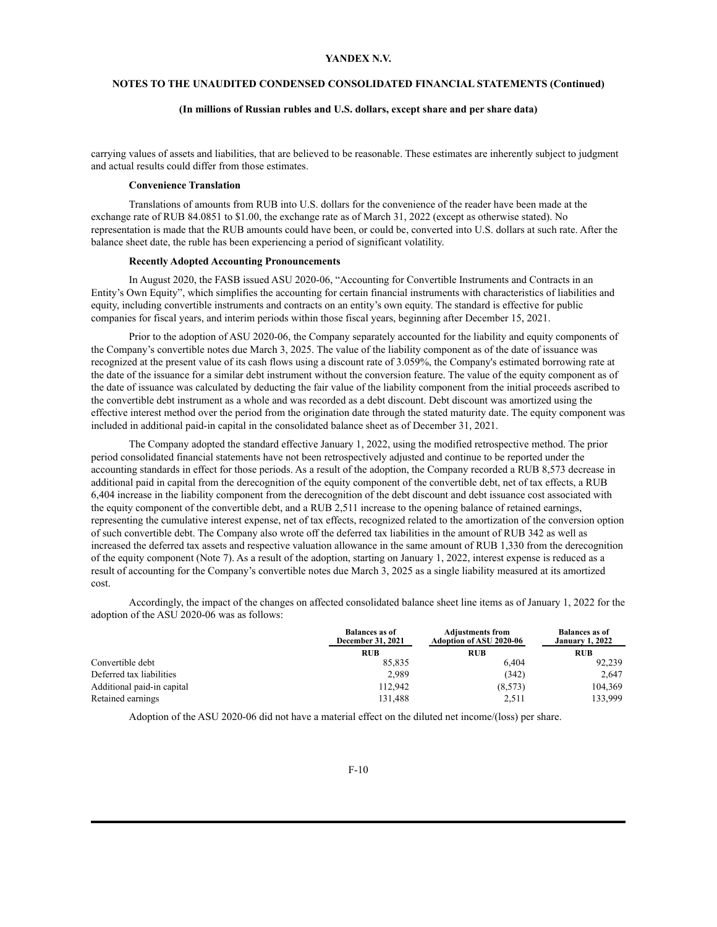# **NOTES TO THE UNAUDITED CONDENSED CONSOLIDATED FINANCIAL STATEMENTS (Continued)**

#### **(In millions of Russian rubles and U.S. dollars, except share and per share data)**

carrying values of assets and liabilities, that are believed to be reasonable. These estimates are inherently subject to judgment and actual results could differ from those estimates.

#### **Convenience Translation**

Translations of amounts from RUB into U.S. dollars for the convenience of the reader have been made at the exchange rate of RUB 84.0851 to \$1.00, the exchange rate as of March 31, 2022 (except as otherwise stated). No representation is made that the RUB amounts could have been, or could be, converted into U.S. dollars at such rate. After the balance sheet date, the ruble has been experiencing a period of significant volatility.

# **Recently Adopted Accounting Pronouncements**

In August 2020, the FASB issued ASU 2020-06, "Accounting for Convertible Instruments and Contracts in an Entity's Own Equity", which simplifies the accounting for certain financial instruments with characteristics of liabilities and equity, including convertible instruments and contracts on an entity's own equity. The standard is effective for public companies for fiscal years, and interim periods within those fiscal years, beginning after December 15, 2021.

Prior to the adoption of ASU 2020-06, the Company separately accounted for the liability and equity components of the Company's convertible notes due March 3, 2025. The value of the liability component as of the date of issuance was recognized at the present value of its cash flows using a discount rate of 3.059%, the Company's estimated borrowing rate at the date of the issuance for a similar debt instrument without the conversion feature. The value of the equity component as of the date of issuance was calculated by deducting the fair value of the liability component from the initial proceeds ascribed to the convertible debt instrument as a whole and was recorded as a debt discount. Debt discount was amortized using the effective interest method over the period from the origination date through the stated maturity date. The equity component was included in additional paid-in capital in the consolidated balance sheet as of December 31, 2021.

The Company adopted the standard effective January 1, 2022, using the modified retrospective method. The prior period consolidated financial statements have not been retrospectively adjusted and continue to be reported under the accounting standards in effect for those periods. As a result of the adoption, the Company recorded a RUB 8,573 decrease in additional paid in capital from the derecognition of the equity component of the convertible debt, net of tax effects, a RUB 6,404 increase in the liability component from the derecognition of the debt discount and debt issuance cost associated with the equity component of the convertible debt, and a RUB 2,511 increase to the opening balance of retained earnings, representing the cumulative interest expense, net of tax effects, recognized related to the amortization of the conversion option of such convertible debt. The Company also wrote off the deferred tax liabilities in the amount of RUB 342 as well as increased the deferred tax assets and respective valuation allowance in the same amount of RUB 1,330 from the derecognition of the equity component (Note 7). As a result of the adoption, starting on January 1, 2022, interest expense is reduced as a result of accounting for the Company's convertible notes due March 3, 2025 as a single liability measured at its amortized cost.

Accordingly, the impact of the changes on affected consolidated balance sheet line items as of January 1, 2022 for the adoption of the ASU 2020-06 was as follows:

|                            | <b>Balances as of</b><br>December 31, 2021 | <b>Adjustments from</b><br>Adoption of ASU 2020-06 | <b>Balances as of</b><br><b>January 1, 2022</b> |
|----------------------------|--------------------------------------------|----------------------------------------------------|-------------------------------------------------|
|                            | <b>RUB</b>                                 | <b>RUB</b>                                         | <b>RUB</b>                                      |
| Convertible debt           | 85.835                                     | 6.404                                              | 92.239                                          |
| Deferred tax liabilities   | 2,989                                      | (342)                                              | 2.647                                           |
| Additional paid-in capital | 112.942                                    | (8,573)                                            | 104,369                                         |
| Retained earnings          | 131,488                                    | 2,511                                              | 133.999                                         |

Adoption of the ASU 2020-06 did not have a material effect on the diluted net income/(loss) per share.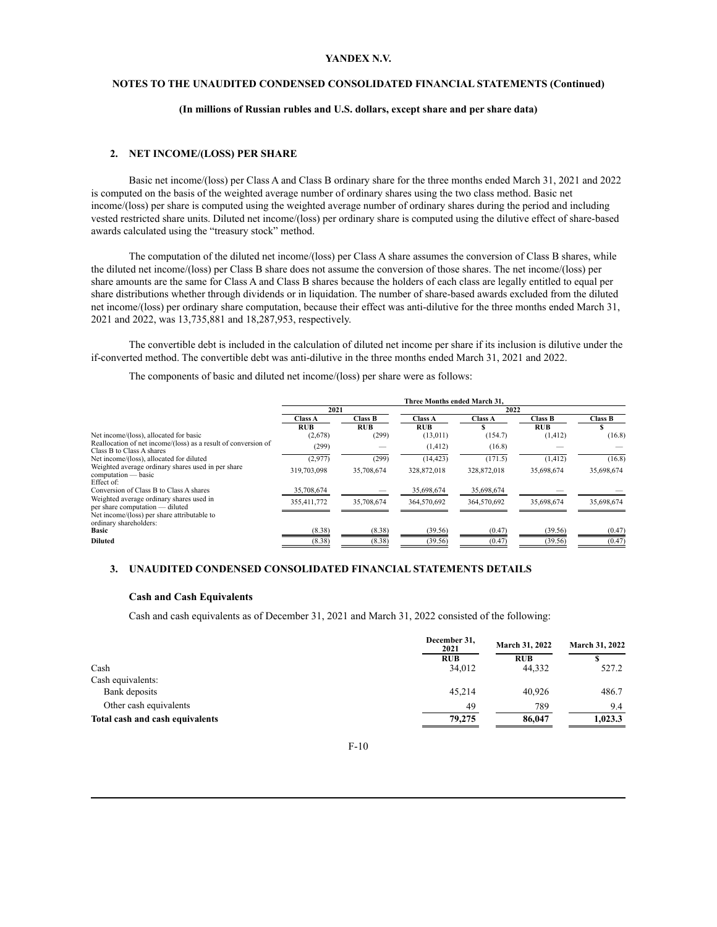# **NOTES TO THE UNAUDITED CONDENSED CONSOLIDATED FINANCIAL STATEMENTS (Continued)**

#### **(In millions of Russian rubles and U.S. dollars, except share and per share data)**

# **2. NET INCOME/(LOSS) PER SHARE**

Basic net income/(loss) per Class A and Class B ordinary share for the three months ended March 31, 2021 and 2022 is computed on the basis of the weighted average number of ordinary shares using the two class method. Basic net income/(loss) per share is computed using the weighted average number of ordinary shares during the period and including vested restricted share units. Diluted net income/(loss) per ordinary share is computed using the dilutive effect of share-based awards calculated using the "treasury stock" method.

The computation of the diluted net income/(loss) per Class A share assumes the conversion of Class B shares, while the diluted net income/(loss) per Class B share does not assume the conversion of those shares. The net income/(loss) per share amounts are the same for Class A and Class B shares because the holders of each class are legally entitled to equal per share distributions whether through dividends or in liquidation. The number of share-based awards excluded from the diluted net income/(loss) per ordinary share computation, because their effect was anti-dilutive for the three months ended March 31, 2021 and 2022, was 13,735,881 and 18,287,953, respectively.

The convertible debt is included in the calculation of diluted net income per share if its inclusion is dilutive under the if-converted method. The convertible debt was anti-dilutive in the three months ended March 31, 2021 and 2022.

The components of basic and diluted net income/(loss) per share were as follows:

|                                                                                                                            | Three Months ended March 31. |                |                |                |                |                |  |
|----------------------------------------------------------------------------------------------------------------------------|------------------------------|----------------|----------------|----------------|----------------|----------------|--|
|                                                                                                                            | 2021                         |                |                | 2022           |                |                |  |
|                                                                                                                            | Class A                      | <b>Class B</b> | <b>Class A</b> | <b>Class A</b> | <b>Class B</b> | <b>Class B</b> |  |
|                                                                                                                            | <b>RUB</b>                   | <b>RUB</b>     | <b>RUB</b>     |                | <b>RUB</b>     |                |  |
| Net income/(loss), allocated for basic                                                                                     | (2,678)                      | (299)          | (13, 011)      | (154.7)        | (1, 412)       | (16.8)         |  |
| Reallocation of net income/(loss) as a result of conversion of<br>Class B to Class A shares                                | (299)                        |                | (1, 412)       | (16.8)         |                |                |  |
| Net income/(loss), allocated for diluted                                                                                   | (2,977)                      | (299)          | (14, 423)      | (171.5)        | (1, 412)       | (16.8)         |  |
| Weighted average ordinary shares used in per share<br>computation — basic<br>Effect of:                                    | 319.703.098                  | 35,708,674     | 328,872,018    | 328,872,018    | 35,698,674     | 35,698,674     |  |
| Conversion of Class B to Class A shares                                                                                    | 35,708,674                   |                | 35,698,674     | 35,698,674     |                |                |  |
| Weighted average ordinary shares used in<br>per share computation — diluted<br>Net income/(loss) per share attributable to | 355,411,772                  | 35,708,674     | 364,570,692    | 364,570,692    | 35,698,674     | 35,698,674     |  |
| ordinary shareholders:<br><b>Basic</b>                                                                                     | (8.38)                       | (8.38)         | (39.56)        | (0.47)         | (39.56)        | (0.47)         |  |
| <b>Diluted</b>                                                                                                             | (8.38)                       | (8.38)         | (39.56)        | (0.47)         | (39.56)        | (0.47)         |  |

# **3. UNAUDITED CONDENSED CONSOLIDATED FINANCIAL STATEMENTS DETAILS**

# **Cash and Cash Equivalents**

Cash and cash equivalents as of December 31, 2021 and March 31, 2022 consisted of the following:

| December 31,<br>2021 | <b>March 31, 2022</b> | March 31, 2022 |
|----------------------|-----------------------|----------------|
| <b>RUB</b>           | <b>RUB</b>            |                |
| 34,012               | 44,332                | 527.2          |
|                      |                       |                |
| 45.214               | 40.926                | 486.7          |
| 49                   | 789                   | 9.4            |
| 79,275               | 86,047                | 1.023.3        |
|                      |                       |                |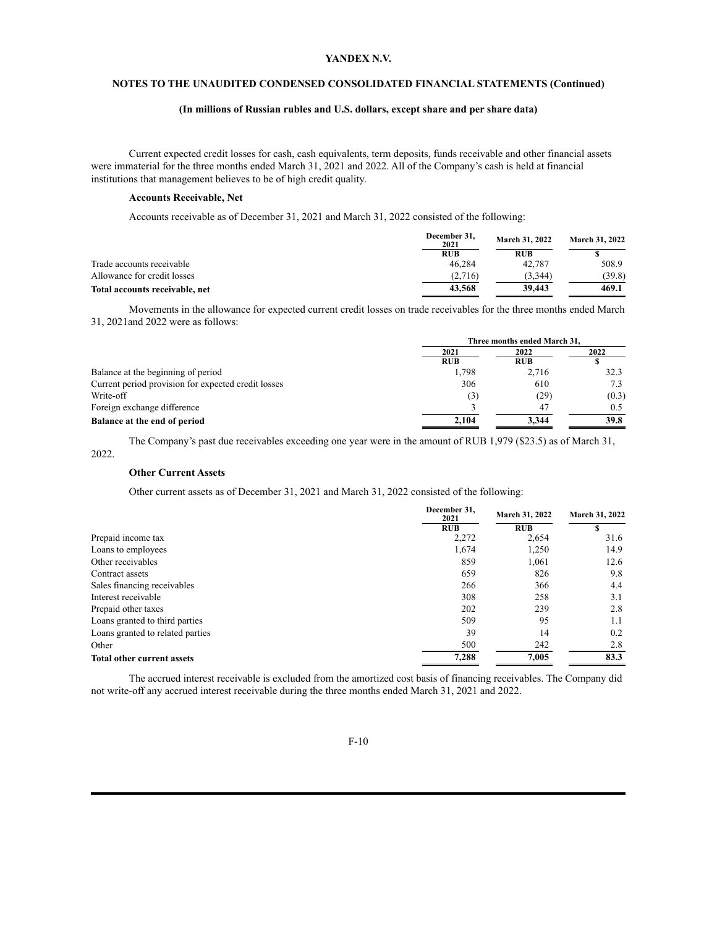# **NOTES TO THE UNAUDITED CONDENSED CONSOLIDATED FINANCIAL STATEMENTS (Continued)**

# **(In millions of Russian rubles and U.S. dollars, except share and per share data)**

Current expected credit losses for cash, cash equivalents, term deposits, funds receivable and other financial assets were immaterial for the three months ended March 31, 2021 and 2022. All of the Company's cash is held at financial institutions that management believes to be of high credit quality.

#### **Accounts Receivable, Net**

Accounts receivable as of December 31, 2021 and March 31, 2022 consisted of the following:

|                                | December 31,<br>2021 | <b>March 31, 2022</b> | <b>March 31, 2022</b> |  |
|--------------------------------|----------------------|-----------------------|-----------------------|--|
|                                | <b>RUB</b>           | <b>RUB</b>            |                       |  |
| Trade accounts receivable      | 46.284               | 42.787                | 508.9                 |  |
| Allowance for credit losses    | (2,716)              | (3,344)               | (39.8)                |  |
| Total accounts receivable, net | 43,568               | 39,443                | 469.1                 |  |

Movements in the allowance for expected current credit losses on trade receivables for the three months ended March 31, 2021and 2022 were as follows:

|                                                     | Three months ended March 31, |            |       |  |
|-----------------------------------------------------|------------------------------|------------|-------|--|
|                                                     | 2021                         | 2022       | 2022  |  |
|                                                     | <b>RUB</b>                   | <b>RUB</b> |       |  |
| Balance at the beginning of period                  | 1,798                        | 2,716      | 32.3  |  |
| Current period provision for expected credit losses | 306                          | 610        | 7.3   |  |
| Write-off                                           | (3)                          | (29)       | (0.3) |  |
| Foreign exchange difference                         |                              | 47         | 0.5   |  |
| Balance at the end of period                        | 2.104                        | 3.344      | 39.8  |  |
|                                                     |                              |            |       |  |

The Company's past due receivables exceeding one year were in the amount of RUB 1,979 (\$23.5) as of March 31, 2022.

# **Other Current Assets**

Other current assets as of December 31, 2021 and March 31, 2022 consisted of the following:

|                                   | December 31,<br>2021 |            | March 31, 2022 |  |
|-----------------------------------|----------------------|------------|----------------|--|
|                                   | <b>RUB</b>           | <b>RUB</b> |                |  |
| Prepaid income tax                | 2,272                | 2,654      | 31.6           |  |
| Loans to employees                | 1,674                | 1,250      | 14.9           |  |
| Other receivables                 | 859                  | 1,061      | 12.6           |  |
| Contract assets                   | 659                  | 826        | 9.8            |  |
| Sales financing receivables       | 266                  | 366        | 4.4            |  |
| Interest receivable               | 308                  | 258        | 3.1            |  |
| Prepaid other taxes               | 202                  | 239        | 2.8            |  |
| Loans granted to third parties    | 509                  | 95         | 1.1            |  |
| Loans granted to related parties  | 39                   | 14         | 0.2            |  |
| Other                             | 500                  | 242        | 2.8            |  |
| <b>Total other current assets</b> | 7,288                | 7,005      | 83.3           |  |

The accrued interest receivable is excluded from the amortized cost basis of financing receivables. The Company did not write-off any accrued interest receivable during the three months ended March 31, 2021 and 2022.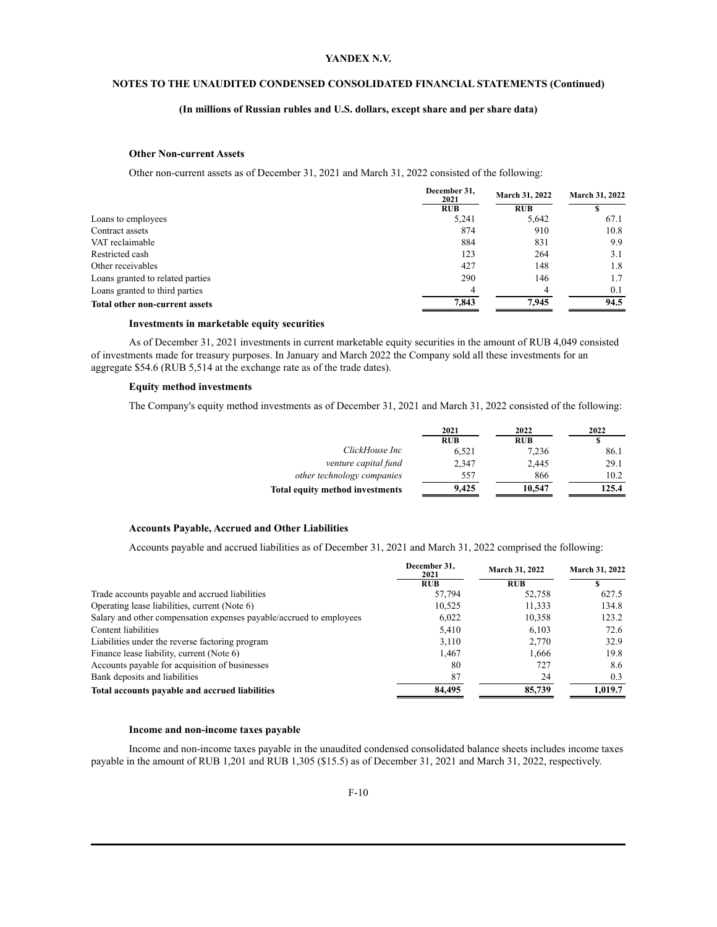# **NOTES TO THE UNAUDITED CONDENSED CONSOLIDATED FINANCIAL STATEMENTS (Continued)**

# **(In millions of Russian rubles and U.S. dollars, except share and per share data)**

#### **Other Non-current Assets**

Other non-current assets as of December 31, 2021 and March 31, 2022 consisted of the following:

|                                       | December 31.<br>2021 |            | March 31, 2022 |  |
|---------------------------------------|----------------------|------------|----------------|--|
|                                       | <b>RUB</b>           | <b>RUB</b> |                |  |
| Loans to employees                    | 5,241                | 5,642      | 67.1           |  |
| Contract assets                       | 874                  | 910        | 10.8           |  |
| VAT reclaimable                       | 884                  | 831        | 9.9            |  |
| Restricted cash                       | 123                  | 264        | 3.1            |  |
| Other receivables                     | 427                  | 148        | 1.8            |  |
| Loans granted to related parties      | 290                  | 146        | 1.7            |  |
| Loans granted to third parties        | $\Lambda$            | 4          | 0.1            |  |
| <b>Total other non-current assets</b> | 7.843                | 7.945      | 94.5           |  |

#### **Investments in marketable equity securities**

As of December 31, 2021 investments in current marketable equity securities in the amount of RUB 4,049 consisted of investments made for treasury purposes. In January and March 2022 the Company sold all these investments for an aggregate \$54.6 (RUB 5,514 at the exchange rate as of the trade dates).

#### **Equity method investments**

The Company's equity method investments as of December 31, 2021 and March 31, 2022 consisted of the following:

|                                        | 2021       | 2022       | 2022  |
|----------------------------------------|------------|------------|-------|
|                                        | <b>RUB</b> | <b>RUB</b> |       |
| ClickHouse Inc                         | 6,521      | 7,236      | 86.1  |
| venture capital fund                   | 2.347      | 2,445      | 29.1  |
| other technology companies             | 557        | 866        | 10.2  |
| <b>Total equity method investments</b> | 9.425      | 10,547     | 125.4 |

#### **Accounts Payable, Accrued and Other Liabilities**

Accounts payable and accrued liabilities as of December 31, 2021 and March 31, 2022 comprised the following:

|                                                                     | December 31.<br>2021 | <b>March 31, 2022</b> | March 31, 2022 |
|---------------------------------------------------------------------|----------------------|-----------------------|----------------|
|                                                                     | <b>RUB</b>           | <b>RUB</b>            |                |
| Trade accounts payable and accrued liabilities                      | 57,794               | 52,758                | 627.5          |
| Operating lease liabilities, current (Note 6)                       | 10.525               | 11,333                | 134.8          |
| Salary and other compensation expenses payable/accrued to employees | 6,022                | 10,358                | 123.2          |
| Content liabilities                                                 | 5,410                | 6,103                 | 72.6           |
| Liabilities under the reverse factoring program                     | 3,110                | 2,770                 | 32.9           |
| Finance lease liability, current (Note 6)                           | 1.467                | 1.666                 | 19.8           |
| Accounts payable for acquisition of businesses                      | 80                   | 727                   | 8.6            |
| Bank deposits and liabilities                                       | 87                   | 24                    | 0.3            |
| Total accounts pavable and accrued liabilities                      | 84,495               | 85,739                | 1.019.7        |

#### **Income and non-income taxes payable**

Income and non-income taxes payable in the unaudited condensed consolidated balance sheets includes income taxes payable in the amount of RUB 1,201 and RUB 1,305 (\$15.5) as of December 31, 2021 and March 31, 2022, respectively.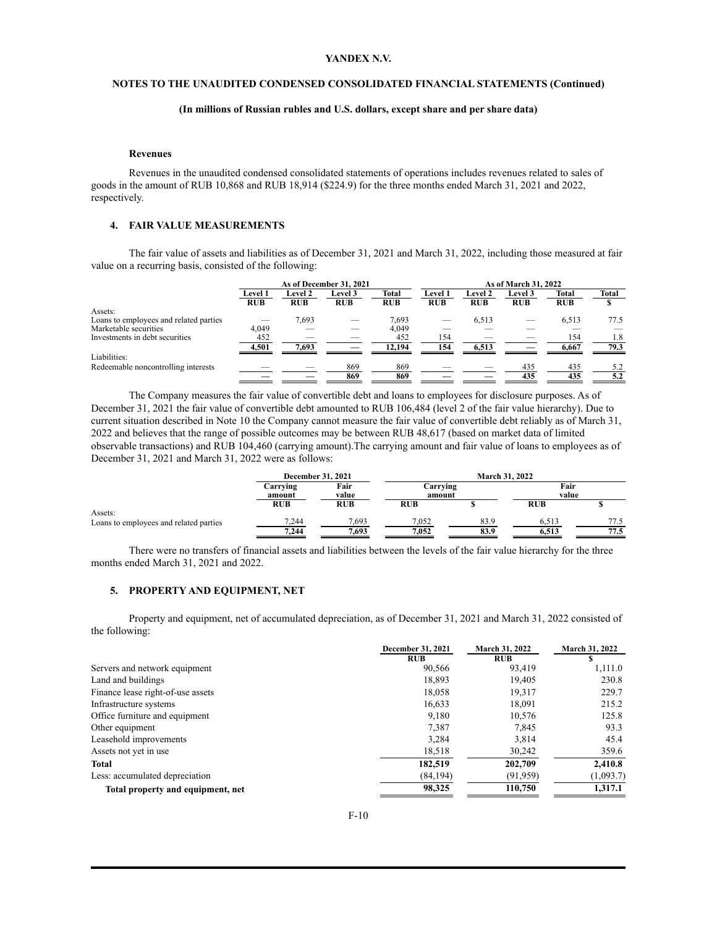# **NOTES TO THE UNAUDITED CONDENSED CONSOLIDATED FINANCIAL STATEMENTS (Continued)**

# **(In millions of Russian rubles and U.S. dollars, except share and per share data)**

#### **Revenues**

Revenues in the unaudited condensed consolidated statements of operations includes revenues related to sales of goods in the amount of RUB 10,868 and RUB 18,914 (\$224.9) for the three months ended March 31, 2021 and 2022, respectively.

#### **4. FAIR VALUE MEASUREMENTS**

The fair value of assets and liabilities as of December 31, 2021 and March 31, 2022, including those measured at fair value on a recurring basis, consisted of the following:

|                | As of December 31, 2021 |            |            |                |                |                |              |                      |
|----------------|-------------------------|------------|------------|----------------|----------------|----------------|--------------|----------------------|
| <b>Level 1</b> | <b>Level 2</b>          | Level 3    | Total      | <b>Level 1</b> | <b>Level 2</b> | <b>Level 3</b> | <b>Total</b> | <b>Total</b>         |
| <b>RUB</b>     | <b>RUB</b>              | <b>RUB</b> | <b>RUB</b> | <b>RUB</b>     | <b>RUB</b>     | <b>RUB</b>     | <b>RUB</b>   |                      |
|                |                         |            |            |                |                |                |              |                      |
|                | 7,693                   |            | 7,693      |                | 6,513          |                | 6,513        | 77.5                 |
| 4,049          |                         |            | 4,049      |                |                |                |              |                      |
| 452            |                         |            | 452        | 154            |                |                | 154          | 1.8                  |
| 4,501          | 7.693                   |            | 12.194     | 154            | 6.513          |                | 6.667        | 79.3                 |
|                |                         |            |            |                |                |                |              |                      |
|                |                         | 869        | 869        |                |                | 435            | 435          | 5.2                  |
|                |                         | 869        | 869        |                |                | 435            | 435          | 5.2                  |
|                |                         |            |            |                |                |                |              | As of March 31, 2022 |

The Company measures the fair value of convertible debt and loans to employees for disclosure purposes. As of December 31, 2021 the fair value of convertible debt amounted to RUB 106,484 (level 2 of the fair value hierarchy). Due to current situation described in Note 10 the Company cannot measure the fair value of convertible debt reliably as of March 31, 2022 and believes that the range of possible outcomes may be between RUB 48,617 (based on market data of limited observable transactions) and RUB 104,460 (carrying amount).The carrying amount and fair value of loans to employees as of December 31, 2021 and March 31, 2022 were as follows:

|                                        |                                     | <b>December 31, 2021</b> |                    | <b>March 31, 2022</b> |               |      |  |
|----------------------------------------|-------------------------------------|--------------------------|--------------------|-----------------------|---------------|------|--|
|                                        | Fair<br>Carrving<br>amount<br>value |                          | Carrving<br>amount |                       | Fair<br>value |      |  |
| Assets:                                | <b>RUB</b>                          | <b>RUB</b>               | <b>RUB</b>         |                       | <b>RUB</b>    |      |  |
| Loans to employees and related parties | 7.244                               | 7.693                    | 7.052              | 83.9                  | 6.513         | 77.5 |  |
|                                        | 7,244                               | 7,693                    | 7.052              | 83.9                  | 6,513         | 77.5 |  |

There were no transfers of financial assets and liabilities between the levels of the fair value hierarchy for the three months ended March 31, 2021 and 2022.

#### **5. PROPERTY AND EQUIPMENT, NET**

Property and equipment, net of accumulated depreciation, as of December 31, 2021 and March 31, 2022 consisted of the following:

|                                   | <b>December 31, 2021</b> | March 31, 2022 | March 31, 2022 |
|-----------------------------------|--------------------------|----------------|----------------|
|                                   | <b>RUB</b>               | <b>RUB</b>     |                |
| Servers and network equipment     | 90,566                   | 93,419         | 1,111.0        |
| Land and buildings                | 18,893                   | 19,405         | 230.8          |
| Finance lease right-of-use assets | 18,058                   | 19,317         | 229.7          |
| Infrastructure systems            | 16,633                   | 18,091         | 215.2          |
| Office furniture and equipment    | 9,180                    | 10,576         | 125.8          |
| Other equipment                   | 7,387                    | 7,845          | 93.3           |
| Leasehold improvements            | 3,284                    | 3,814          | 45.4           |
| Assets not yet in use             | 18,518                   | 30,242         | 359.6          |
| Total                             | 182,519                  | 202,709        | 2,410.8        |
| Less: accumulated depreciation    | (84, 194)                | (91, 959)      | (1,093.7)      |
| Total property and equipment, net | 98,325                   | 110,750        | 1,317.1        |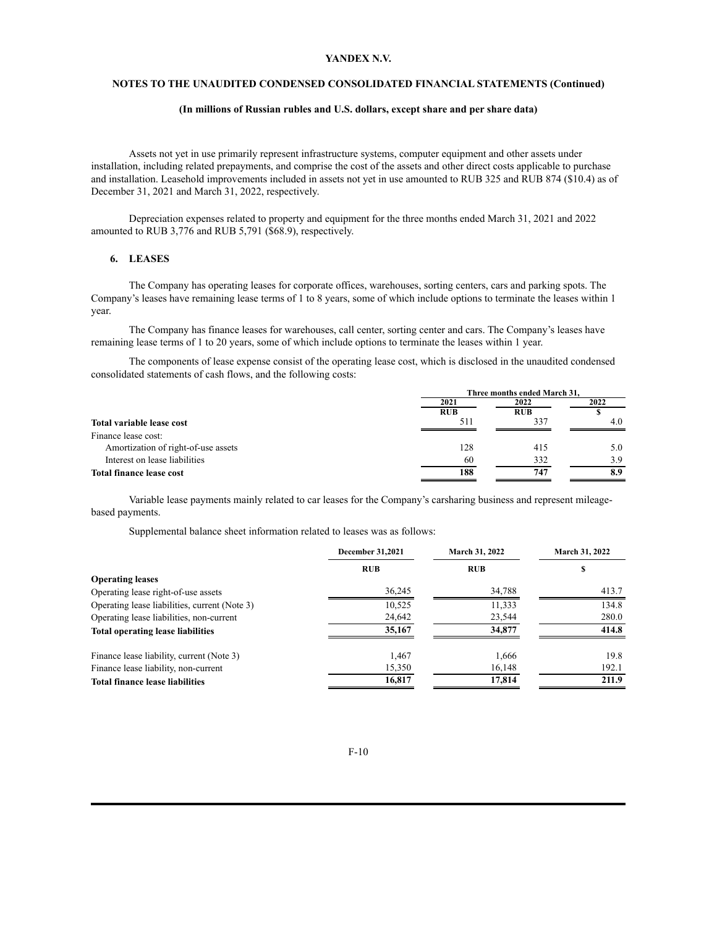# **NOTES TO THE UNAUDITED CONDENSED CONSOLIDATED FINANCIAL STATEMENTS (Continued)**

#### **(In millions of Russian rubles and U.S. dollars, except share and per share data)**

Assets not yet in use primarily represent infrastructure systems, computer equipment and other assets under installation, including related prepayments, and comprise the cost of the assets and other direct costs applicable to purchase and installation. Leasehold improvements included in assets not yet in use amounted to RUB 325 and RUB 874 (\$10.4) as of December 31, 2021 and March 31, 2022, respectively.

Depreciation expenses related to property and equipment for the three months ended March 31, 2021 and 2022 amounted to RUB 3,776 and RUB 5,791 (\$68.9), respectively.

# **6. LEASES**

The Company has operating leases for corporate offices, warehouses, sorting centers, cars and parking spots. The Company's leases have remaining lease terms of 1 to 8 years, some of which include options to terminate the leases within 1 year.

The Company has finance leases for warehouses, call center, sorting center and cars. The Company's leases have remaining lease terms of 1 to 20 years, some of which include options to terminate the leases within 1 year.

The components of lease expense consist of the operating lease cost, which is disclosed in the unaudited condensed consolidated statements of cash flows, and the following costs:

|                                     |            | Three months ended March 31. |      |  |  |
|-------------------------------------|------------|------------------------------|------|--|--|
|                                     | 2021       | 2022                         | 2022 |  |  |
|                                     | <b>RUB</b> | <b>RUB</b>                   |      |  |  |
| Total variable lease cost           | 511        | 337                          | 4.0  |  |  |
| Finance lease cost:                 |            |                              |      |  |  |
| Amortization of right-of-use assets | 128        | 415                          | 5.0  |  |  |
| Interest on lease liabilities       | 60         | 332                          | 3.9  |  |  |
| <b>Total finance lease cost</b>     | 188        | 747                          | 8.9  |  |  |

Variable lease payments mainly related to car leases for the Company's carsharing business and represent mileagebased payments.

Supplemental balance sheet information related to leases was as follows:

|                                               | March 31, 2022<br><b>December 31,2021</b> |            | March 31, 2022 |
|-----------------------------------------------|-------------------------------------------|------------|----------------|
|                                               | <b>RUB</b>                                | <b>RUB</b> | S              |
| <b>Operating leases</b>                       |                                           |            |                |
| Operating lease right-of-use assets           | 36,245                                    | 34,788     | 413.7          |
| Operating lease liabilities, current (Note 3) | 10,525                                    | 11,333     | 134.8          |
| Operating lease liabilities, non-current      | 24,642                                    | 23,544     | 280.0          |
| <b>Total operating lease liabilities</b>      | 35,167                                    | 34,877     | 414.8          |
| Finance lease liability, current (Note 3)     | 1.467                                     | 1.666      | 19.8           |
| Finance lease liability, non-current          | 15,350                                    | 16,148     | 192.1          |
| <b>Total finance lease liabilities</b>        | 16,817                                    | 17,814     | 211.9          |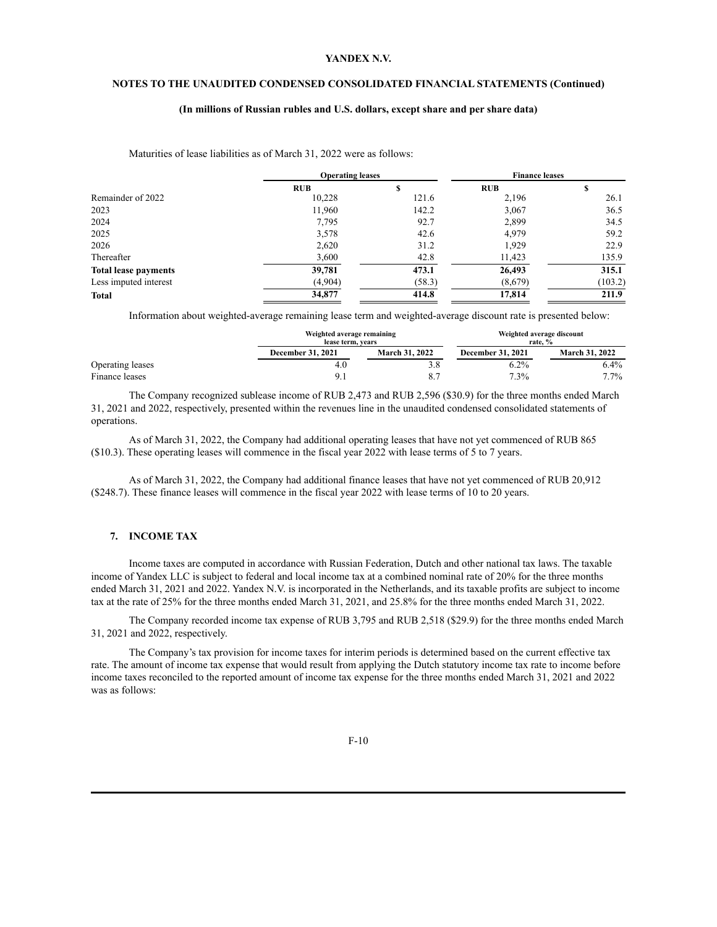# **NOTES TO THE UNAUDITED CONDENSED CONSOLIDATED FINANCIAL STATEMENTS (Continued)**

#### **(In millions of Russian rubles and U.S. dollars, except share and per share data)**

#### Maturities of lease liabilities as of March 31, 2022 were as follows:

|                             | <b>Operating leases</b> |        | <b>Finance leases</b> |         |
|-----------------------------|-------------------------|--------|-----------------------|---------|
|                             | <b>RUB</b>              | S      | <b>RUB</b>            |         |
| Remainder of 2022           | 10,228                  | 121.6  | 2,196                 | 26.1    |
| 2023                        | 11,960                  | 142.2  | 3,067                 | 36.5    |
| 2024                        | 7,795                   | 92.7   | 2,899                 | 34.5    |
| 2025                        | 3,578                   | 42.6   | 4,979                 | 59.2    |
| 2026                        | 2,620                   | 31.2   | 1,929                 | 22.9    |
| Thereafter                  | 3,600                   | 42.8   | 11,423                | 135.9   |
| <b>Total lease payments</b> | 39,781                  | 473.1  | 26,493                | 315.1   |
| Less imputed interest       | (4,904)                 | (58.3) | (8,679)               | (103.2) |
| <b>Total</b>                | 34,877                  | 414.8  | 17,814                | 211.9   |

Information about weighted-average remaining lease term and weighted-average discount rate is presented below:

|                  |                          | Weighted average remaining<br>lease term, vears |                          | Weighted average discount<br>rate. % |
|------------------|--------------------------|-------------------------------------------------|--------------------------|--------------------------------------|
|                  | <b>December 31, 2021</b> | <b>March 31, 2022</b>                           | <b>December 31, 2021</b> | <b>March 31, 2022</b>                |
| Operating leases | 4.U                      | 3.8                                             | $6.2\%$                  | $6.4\%$                              |
| Finance leases   |                          |                                                 | $7.3\%$                  | $7.7\%$                              |

The Company recognized sublease income of RUB 2,473 and RUB 2,596 (\$30.9) for the three months ended March 31, 2021 and 2022, respectively, presented within the revenues line in the unaudited condensed consolidated statements of operations.

As of March 31, 2022, the Company had additional operating leases that have not yet commenced of RUB 865 (\$10.3). These operating leases will commence in the fiscal year 2022 with lease terms of 5 to 7 years.

As of March 31, 2022, the Company had additional finance leases that have not yet commenced of RUB 20,912 (\$248.7). These finance leases will commence in the fiscal year 2022 with lease terms of 10 to 20 years.

# **7. INCOME TAX**

Income taxes are computed in accordance with Russian Federation, Dutch and other national tax laws. The taxable income of Yandex LLC is subject to federal and local income tax at a combined nominal rate of 20% for the three months ended March 31, 2021 and 2022. Yandex N.V. is incorporated in the Netherlands, and its taxable profits are subject to income tax at the rate of 25% for the three months ended March 31, 2021, and 25.8% for the three months ended March 31, 2022.

The Company recorded income tax expense of RUB 3,795 and RUB 2,518 (\$29.9) for the three months ended March 31, 2021 and 2022, respectively.

The Company's tax provision for income taxes for interim periods is determined based on the current effective tax rate. The amount of income tax expense that would result from applying the Dutch statutory income tax rate to income before income taxes reconciled to the reported amount of income tax expense for the three months ended March 31, 2021 and 2022 was as follows: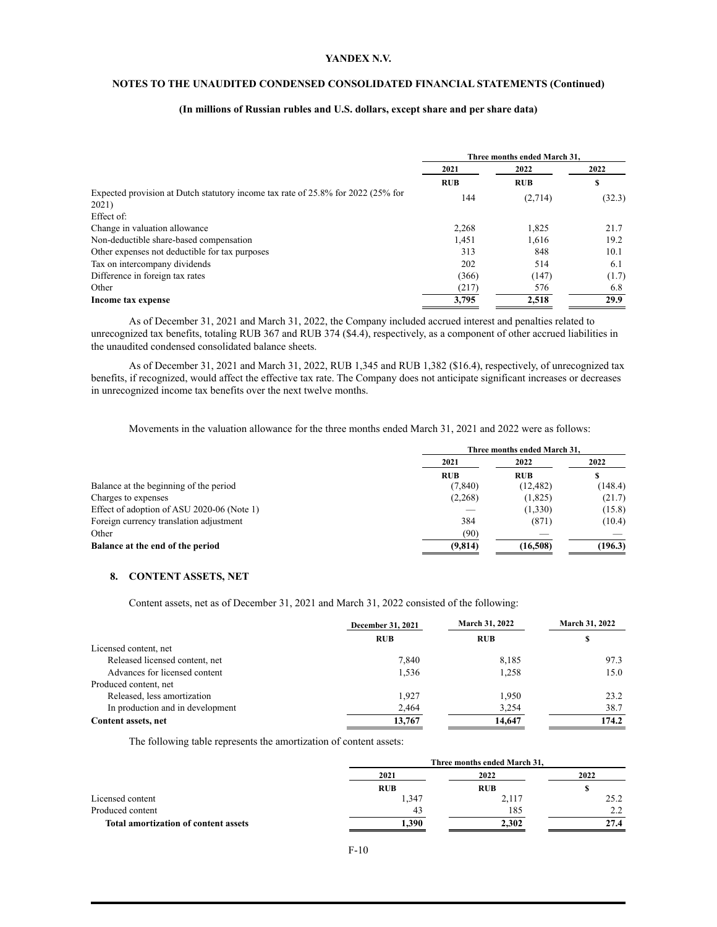# **NOTES TO THE UNAUDITED CONDENSED CONSOLIDATED FINANCIAL STATEMENTS (Continued)**

# **(In millions of Russian rubles and U.S. dollars, except share and per share data)**

|                                                                                  | Three months ended March 31. |            |        |  |
|----------------------------------------------------------------------------------|------------------------------|------------|--------|--|
|                                                                                  | 2021                         | 2022       | 2022   |  |
|                                                                                  | <b>RUB</b>                   | <b>RUB</b> | \$     |  |
| Expected provision at Dutch statutory income tax rate of 25.8% for 2022 (25% for | 144                          | (2,714)    | (32.3) |  |
| 2021)                                                                            |                              |            |        |  |
| Effect of:                                                                       |                              |            |        |  |
| Change in valuation allowance                                                    | 2,268                        | 1,825      | 21.7   |  |
| Non-deductible share-based compensation                                          | 1,451                        | 1,616      | 19.2   |  |
| Other expenses not deductible for tax purposes                                   | 313                          | 848        | 10.1   |  |
| Tax on intercompany dividends                                                    | 202                          | 514        | 6.1    |  |
| Difference in foreign tax rates                                                  | (366)                        | (147)      | (1.7)  |  |
| Other                                                                            | (217)                        | 576        | 6.8    |  |
| Income tax expense                                                               | 3,795                        | 2,518      | 29.9   |  |

As of December 31, 2021 and March 31, 2022, the Company included accrued interest and penalties related to unrecognized tax benefits, totaling RUB 367 and RUB 374 (\$4.4), respectively, as a component of other accrued liabilities in the unaudited condensed consolidated balance sheets.

As of December 31, 2021 and March 31, 2022, RUB 1,345 and RUB 1,382 (\$16.4), respectively, of unrecognized tax benefits, if recognized, would affect the effective tax rate. The Company does not anticipate significant increases or decreases in unrecognized income tax benefits over the next twelve months.

Movements in the valuation allowance for the three months ended March 31, 2021 and 2022 were as follows:

|                                            | Three months ended March 31. |            |         |  |
|--------------------------------------------|------------------------------|------------|---------|--|
|                                            | 2021                         |            | 2022    |  |
|                                            | <b>RUB</b>                   | <b>RUB</b> | S       |  |
| Balance at the beginning of the period     | (7, 840)                     | (12, 482)  | (148.4) |  |
| Charges to expenses                        | (2,268)                      | (1,825)    | (21.7)  |  |
| Effect of adoption of ASU 2020-06 (Note 1) |                              | (1,330)    | (15.8)  |  |
| Foreign currency translation adjustment    | 384                          | (871)      | (10.4)  |  |
| Other                                      | (90)                         |            |         |  |
| Balance at the end of the period           | (9,814)                      | (16,508)   | (196.3) |  |

#### **8. CONTENT ASSETS, NET**

Content assets, net as of December 31, 2021 and March 31, 2022 consisted of the following:

|                                  | December 31, 2021 | <b>March 31, 2022</b> | <b>March 31, 2022</b> |  |
|----------------------------------|-------------------|-----------------------|-----------------------|--|
|                                  | <b>RUB</b>        | <b>RUB</b>            | S                     |  |
| Licensed content, net            |                   |                       |                       |  |
| Released licensed content, net   | 7,840             | 8,185                 | 97.3                  |  |
| Advances for licensed content    | 1,536             | 1,258                 | 15.0                  |  |
| Produced content, net            |                   |                       |                       |  |
| Released, less amortization      | 1.927             | 1.950                 | 23.2                  |  |
| In production and in development | 2,464             | 3,254                 | 38.7                  |  |
| Content assets, net              | 13,767            | 14.647                | 174.2                 |  |

The following table represents the amortization of content assets:

|                                      | Three months ended March 31, |            |      |  |
|--------------------------------------|------------------------------|------------|------|--|
|                                      | 2021                         | 2022       | 2022 |  |
|                                      | RUB                          | <b>RUB</b> |      |  |
| Licensed content                     | 1,347                        | 2,117      | 25.2 |  |
| Produced content                     | 43                           | 185        | 2.2  |  |
| Total amortization of content assets | 1,390                        | 2.302      | 27.4 |  |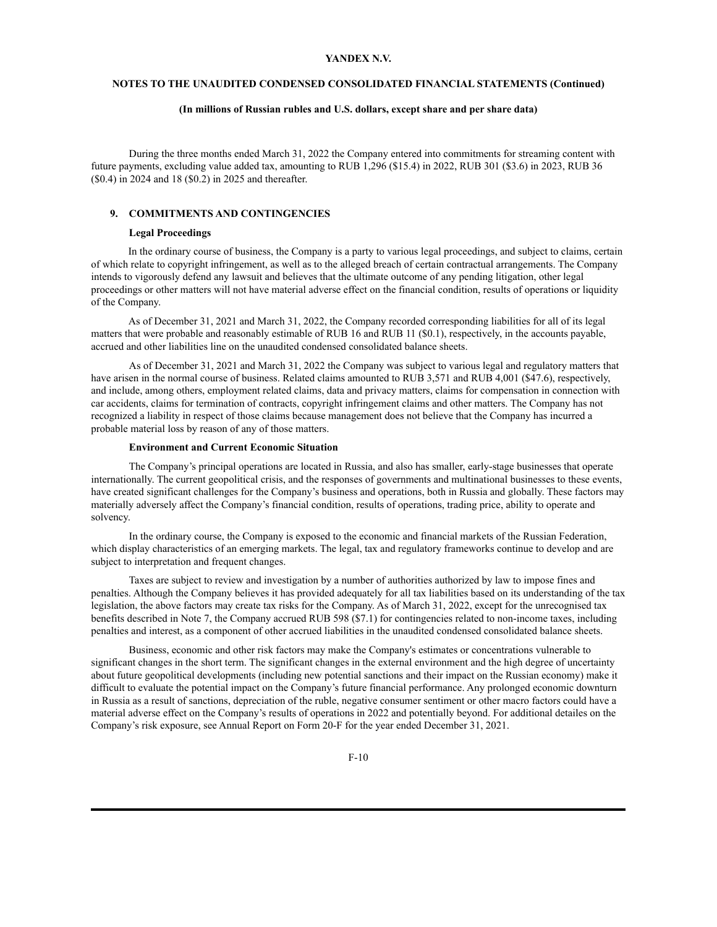# **NOTES TO THE UNAUDITED CONDENSED CONSOLIDATED FINANCIAL STATEMENTS (Continued)**

#### **(In millions of Russian rubles and U.S. dollars, except share and per share data)**

During the three months ended March 31, 2022 the Company entered into commitments for streaming content with future payments, excluding value added tax, amounting to RUB 1,296 (\$15.4) in 2022, RUB 301 (\$3.6) in 2023, RUB 36 (\$0.4) in 2024 and 18 (\$0.2) in 2025 and thereafter.

### **9. COMMITMENTS AND CONTINGENCIES**

# **Legal Proceedings**

In the ordinary course of business, the Company is a party to various legal proceedings, and subject to claims, certain of which relate to copyright infringement, as well as to the alleged breach of certain contractual arrangements. The Company intends to vigorously defend any lawsuit and believes that the ultimate outcome of any pending litigation, other legal proceedings or other matters will not have material adverse effect on the financial condition, results of operations or liquidity of the Company.

As of December 31, 2021 and March 31, 2022, the Company recorded corresponding liabilities for all of its legal matters that were probable and reasonably estimable of RUB 16 and RUB 11 (\$0.1), respectively, in the accounts payable, accrued and other liabilities line on the unaudited condensed consolidated balance sheets.

As of December 31, 2021 and March 31, 2022 the Company was subject to various legal and regulatory matters that have arisen in the normal course of business. Related claims amounted to RUB 3,571 and RUB 4,001 (\$47.6), respectively, and include, among others, employment related claims, data and privacy matters, claims for compensation in connection with car accidents, claims for termination of contracts, copyright infringement claims and other matters. The Company has not recognized a liability in respect of those claims because management does not believe that the Company has incurred a probable material loss by reason of any of those matters.

#### **Environment and Current Economic Situation**

The Company's principal operations are located in Russia, and also has smaller, early-stage businesses that operate internationally. The current geopolitical crisis, and the responses of governments and multinational businesses to these events, have created significant challenges for the Company's business and operations, both in Russia and globally. These factors may materially adversely affect the Company's financial condition, results of operations, trading price, ability to operate and solvency.

In the ordinary course, the Company is exposed to the economic and financial markets of the Russian Federation, which display characteristics of an emerging markets. The legal, tax and regulatory frameworks continue to develop and are subject to interpretation and frequent changes.

Taxes are subject to review and investigation by a number of authorities authorized by law to impose fines and penalties. Although the Company believes it has provided adequately for all tax liabilities based on its understanding of the tax legislation, the above factors may create tax risks for the Company. As of March 31, 2022, except for the unrecognised tax benefits described in Note 7, the Company accrued RUB 598 (\$7.1) for contingencies related to non-income taxes, including penalties and interest, as a component of other accrued liabilities in the unaudited condensed consolidated balance sheets.

Business, economic and other risk factors may make the Company's estimates or concentrations vulnerable to significant changes in the short term. The significant changes in the external environment and the high degree of uncertainty about future geopolitical developments (including new potential sanctions and their impact on the Russian economy) make it difficult to evaluate the potential impact on the Company's future financial performance. Any prolonged economic downturn in Russia as a result of sanctions, depreciation of the ruble, negative consumer sentiment or other macro factors could have a material adverse effect on the Company's results of operations in 2022 and potentially beyond. For additional detailes on the Company's risk exposure, see Annual Report on Form 20-F for the year ended December 31, 2021.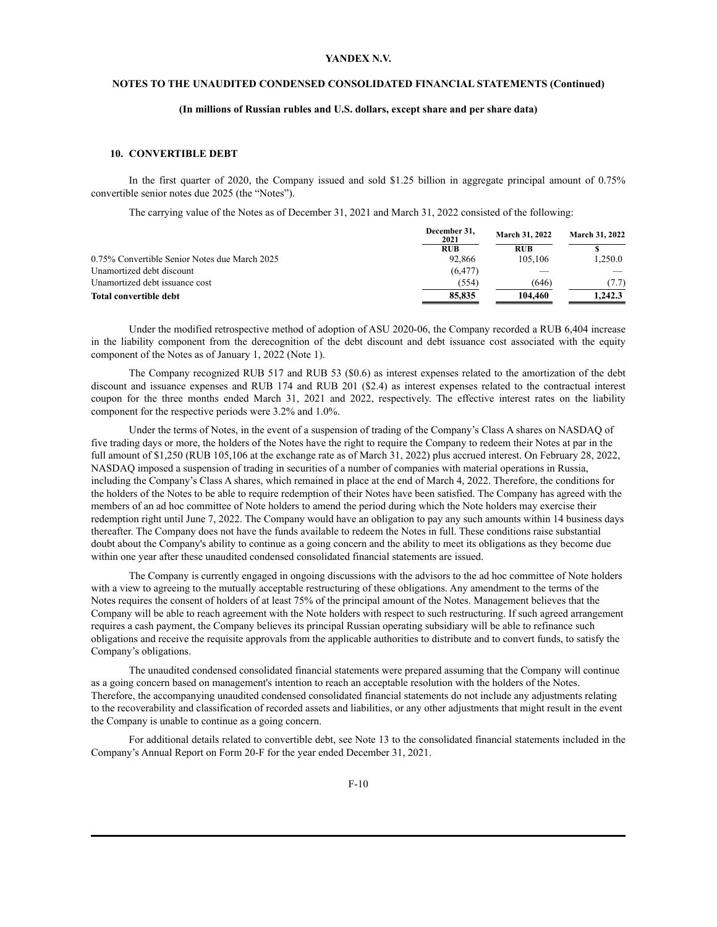# **NOTES TO THE UNAUDITED CONDENSED CONSOLIDATED FINANCIAL STATEMENTS (Continued)**

#### **(In millions of Russian rubles and U.S. dollars, except share and per share data)**

# **10. CONVERTIBLE DEBT**

In the first quarter of 2020, the Company issued and sold \$1.25 billion in aggregate principal amount of 0.75% convertible senior notes due 2025 (the "Notes").

The carrying value of the Notes as of December 31, 2021 and March 31, 2022 consisted of the following:

|                                               | December 31.<br>2021 | <b>March 31, 2022</b> | <b>March 31, 2022</b> |  |
|-----------------------------------------------|----------------------|-----------------------|-----------------------|--|
|                                               | <b>RUB</b>           | <b>RUB</b>            |                       |  |
| 0.75% Convertible Senior Notes due March 2025 | 92.866               | 105.106               | 1.250.0               |  |
| Unamortized debt discount                     | (6, 477)             |                       |                       |  |
| Unamortized debt issuance cost                | (554)                | (646)                 | (7.7)                 |  |
| Total convertible debt                        | 85,835               | 104.460               | 1.242.3               |  |

Under the modified retrospective method of adoption of ASU 2020-06, the Company recorded a RUB 6,404 increase in the liability component from the derecognition of the debt discount and debt issuance cost associated with the equity component of the Notes as of January 1, 2022 (Note 1).

The Company recognized RUB 517 and RUB 53 (\$0.6) as interest expenses related to the amortization of the debt discount and issuance expenses and RUB 174 and RUB 201 (\$2.4) as interest expenses related to the contractual interest coupon for the three months ended March 31, 2021 and 2022, respectively. The effective interest rates on the liability component for the respective periods were 3.2% and 1.0%.

Under the terms of Notes, in the event of a suspension of trading of the Company's Class A shares on NASDAQ of five trading days or more, the holders of the Notes have the right to require the Company to redeem their Notes at par in the full amount of \$1,250 (RUB 105,106 at the exchange rate as of March 31, 2022) plus accrued interest. On February 28, 2022, NASDAQ imposed a suspension of trading in securities of a number of companies with material operations in Russia, including the Company's Class A shares, which remained in place at the end of March 4, 2022. Therefore, the conditions for the holders of the Notes to be able to require redemption of their Notes have been satisfied. The Company has agreed with the members of an ad hoc committee of Note holders to amend the period during which the Note holders may exercise their redemption right until June 7, 2022. The Company would have an obligation to pay any such amounts within 14 business days thereafter. The Company does not have the funds available to redeem the Notes in full. These conditions raise substantial doubt about the Company's ability to continue as a going concern and the ability to meet its obligations as they become due within one year after these unaudited condensed consolidated financial statements are issued.

The Company is currently engaged in ongoing discussions with the advisors to the ad hoc committee of Note holders with a view to agreeing to the mutually acceptable restructuring of these obligations. Any amendment to the terms of the Notes requires the consent of holders of at least 75% of the principal amount of the Notes. Management believes that the Company will be able to reach agreement with the Note holders with respect to such restructuring. If such agreed arrangement requires a cash payment, the Company believes its principal Russian operating subsidiary will be able to refinance such obligations and receive the requisite approvals from the applicable authorities to distribute and to convert funds, to satisfy the Company's obligations.

The unaudited condensed consolidated financial statements were prepared assuming that the Company will continue as a going concern based on management's intention to reach an acceptable resolution with the holders of the Notes. Therefore, the accompanying unaudited condensed consolidated financial statements do not include any adjustments relating to the recoverability and classification of recorded assets and liabilities, or any other adjustments that might result in the event the Company is unable to continue as a going concern.

For additional details related to convertible debt, see Note 13 to the consolidated financial statements included in the Company's Annual Report on Form 20-F for the year ended December 31, 2021.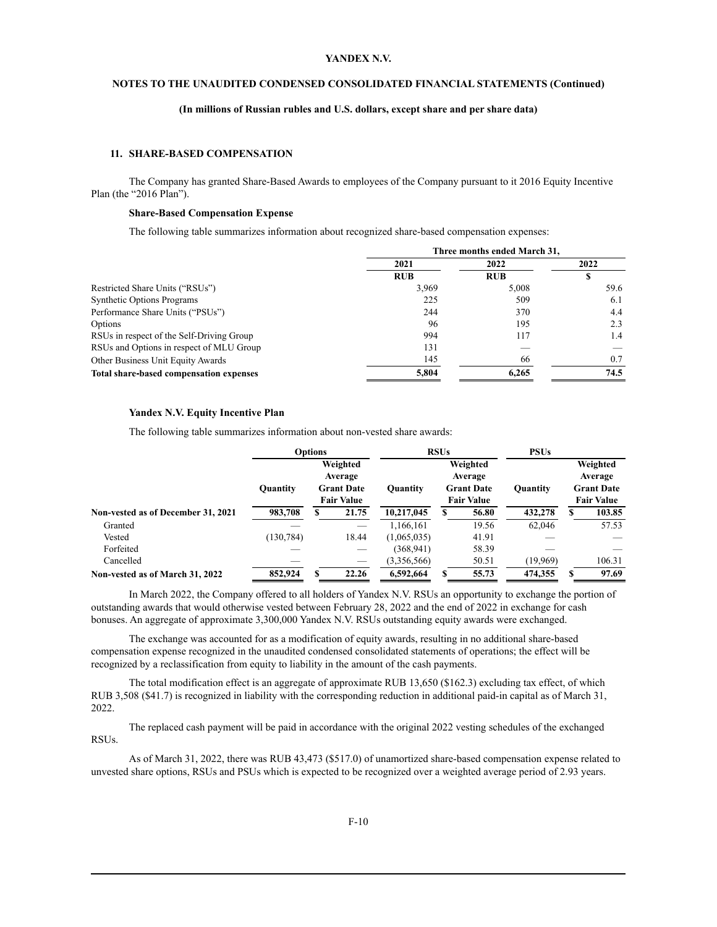# **NOTES TO THE UNAUDITED CONDENSED CONSOLIDATED FINANCIAL STATEMENTS (Continued)**

# **(In millions of Russian rubles and U.S. dollars, except share and per share data)**

# **11. SHARE-BASED COMPENSATION**

The Company has granted Share-Based Awards to employees of the Company pursuant to it 2016 Equity Incentive Plan (the "2016 Plan").

#### **Share-Based Compensation Expense**

The following table summarizes information about recognized share-based compensation expenses:

|                                           | Three months ended March 31, |            |      |  |
|-------------------------------------------|------------------------------|------------|------|--|
|                                           | 2021                         | 2022       | 2022 |  |
|                                           | <b>RUB</b>                   | <b>RUB</b> |      |  |
| Restricted Share Units ("RSUs")           | 3,969                        | 5.008      | 59.6 |  |
| <b>Synthetic Options Programs</b>         | 225                          | 509        | 6.1  |  |
| Performance Share Units ("PSUs")          | 244                          | 370        | 4.4  |  |
| Options                                   | 96                           | 195        | 2.3  |  |
| RSUs in respect of the Self-Driving Group | 994                          | 117        | 1.4  |  |
| RSUs and Options in respect of MLU Group  | 131                          |            |      |  |
| Other Business Unit Equity Awards         | 145                          | 66         | 0.7  |  |
| Total share-based compensation expenses   | 5,804                        | 6.265      | 74.5 |  |

#### **Yandex N.V. Equity Incentive Plan**

The following table summarizes information about non-vested share awards:

|                                    |                 | <b>Options</b> |                                                               |                 | <b>RSUs</b> |                                                               | <b>PSUs</b>     |                                                               |
|------------------------------------|-----------------|----------------|---------------------------------------------------------------|-----------------|-------------|---------------------------------------------------------------|-----------------|---------------------------------------------------------------|
|                                    | <b>Ouantity</b> |                | Weighted<br>Average<br><b>Grant Date</b><br><b>Fair Value</b> | <b>Quantity</b> |             | Weighted<br>Average<br><b>Grant Date</b><br><b>Fair Value</b> | <b>Quantity</b> | Weighted<br>Average<br><b>Grant Date</b><br><b>Fair Value</b> |
| Non-vested as of December 31, 2021 | 983,708         | э              | 21.75                                                         | 10.217,045      |             | 56.80                                                         | 432,278         | 103.85                                                        |
| Granted                            |                 |                |                                                               | 1.166.161       |             | 19.56                                                         | 62.046          | 57.53                                                         |
| Vested                             | (130, 784)      |                | 18.44                                                         | (1,065,035)     |             | 41.91                                                         |                 |                                                               |
| Forfeited                          |                 |                |                                                               | (368, 941)      |             | 58.39                                                         |                 |                                                               |
| Cancelled                          |                 |                |                                                               | (3,356,566)     |             | 50.51                                                         | (19,969)        | 106.31                                                        |
| Non-vested as of March 31, 2022    | 852,924         | S              | 22.26                                                         | 6,592,664       |             | 55.73                                                         | 474.355         | 97.69                                                         |

In March 2022, the Company offered to all holders of Yandex N.V. RSUs an opportunity to exchange the portion of outstanding awards that would otherwise vested between February 28, 2022 and the end of 2022 in exchange for cash bonuses. An aggregate of approximate 3,300,000 Yandex N.V. RSUs outstanding equity awards were exchanged.

The exchange was accounted for as a modification of equity awards, resulting in no additional share-based compensation expense recognized in the unaudited condensed consolidated statements of operations; the effect will be recognized by a reclassification from equity to liability in the amount of the cash payments.

The total modification effect is an aggregate of approximate RUB 13,650 (\$162.3) excluding tax effect, of which RUB 3,508 (\$41.7) is recognized in liability with the corresponding reduction in additional paid-in capital as of March 31, 2022.

The replaced cash payment will be paid in accordance with the original 2022 vesting schedules of the exchanged RSUs.

As of March 31, 2022, there was RUB 43,473 (\$517.0) of unamortized share-based compensation expense related to unvested share options, RSUs and PSUs which is expected to be recognized over a weighted average period of 2.93 years.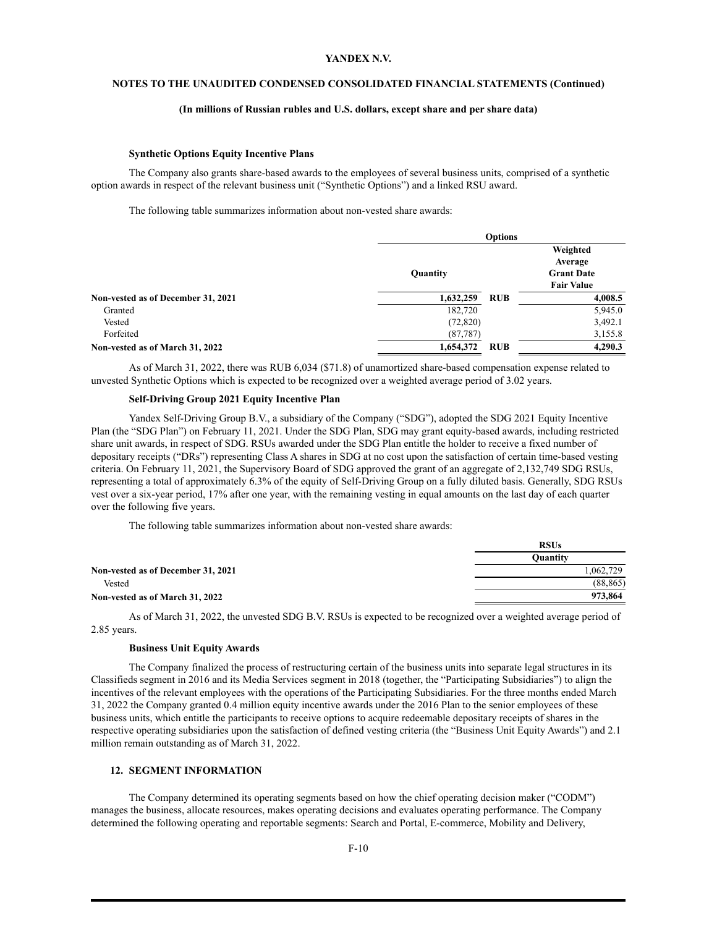# **NOTES TO THE UNAUDITED CONDENSED CONSOLIDATED FINANCIAL STATEMENTS (Continued)**

#### **(In millions of Russian rubles and U.S. dollars, except share and per share data)**

#### **Synthetic Options Equity Incentive Plans**

The Company also grants share-based awards to the employees of several business units, comprised of a synthetic option awards in respect of the relevant business unit ("Synthetic Options") and a linked RSU award.

The following table summarizes information about non-vested share awards:

|                                    |           | <b>Options</b> |                                                               |
|------------------------------------|-----------|----------------|---------------------------------------------------------------|
|                                    | Quantity  |                | Weighted<br>Average<br><b>Grant Date</b><br><b>Fair Value</b> |
| Non-vested as of December 31, 2021 | 1,632,259 | <b>RUB</b>     | 4,008.5                                                       |
| Granted                            | 182,720   |                | 5,945.0                                                       |
| Vested                             | (72, 820) |                | 3,492.1                                                       |
| Forfeited                          | (87, 787) |                | 3,155.8                                                       |
| Non-vested as of March 31, 2022    | 1,654,372 | <b>RUB</b>     | 4,290.3                                                       |

As of March 31, 2022, there was RUB 6,034 (\$71.8) of unamortized share-based compensation expense related to unvested Synthetic Options which is expected to be recognized over a weighted average period of 3.02 years.

#### **Self-Driving Group 2021 Equity Incentive Plan**

Yandex Self-Driving Group B.V., a subsidiary of the Company ("SDG"), adopted the SDG 2021 Equity Incentive Plan (the "SDG Plan") on February 11, 2021. Under the SDG Plan, SDG may grant equity-based awards, including restricted share unit awards, in respect of SDG. RSUs awarded under the SDG Plan entitle the holder to receive a fixed number of depositary receipts ("DRs") representing Class A shares in SDG at no cost upon the satisfaction of certain time-based vesting criteria. On February 11, 2021, the Supervisory Board of SDG approved the grant of an aggregate of 2,132,749 SDG RSUs, representing a total of approximately 6.3% of the equity of Self-Driving Group on a fully diluted basis. Generally, SDG RSUs vest over a six-year period, 17% after one year, with the remaining vesting in equal amounts on the last day of each quarter over the following five years.

The following table summarizes information about non-vested share awards:

|                                    | <b>RSUs</b>     |
|------------------------------------|-----------------|
|                                    | <b>Ouantity</b> |
| Non-vested as of December 31, 2021 | 1.062.729       |
| Vested                             | (88, 865)       |
| Non-vested as of March 31, 2022    | 973,864         |

As of March 31, 2022, the unvested SDG B.V. RSUs is expected to be recognized over a weighted average period of 2.85 years.

#### **Business Unit Equity Awards**

The Company finalized the process of restructuring certain of the business units into separate legal structures in its Classifieds segment in 2016 and its Media Services segment in 2018 (together, the "Participating Subsidiaries") to align the incentives of the relevant employees with the operations of the Participating Subsidiaries. For the three months ended March 31, 2022 the Company granted 0.4 million equity incentive awards under the 2016 Plan to the senior employees of these business units, which entitle the participants to receive options to acquire redeemable depositary receipts of shares in the respective operating subsidiaries upon the satisfaction of defined vesting criteria (the "Business Unit Equity Awards") and 2.1 million remain outstanding as of March 31, 2022.

#### **12. SEGMENT INFORMATION**

The Company determined its operating segments based on how the chief operating decision maker ("CODM") manages the business, allocate resources, makes operating decisions and evaluates operating performance. The Company determined the following operating and reportable segments: Search and Portal, E-commerce, Mobility and Delivery,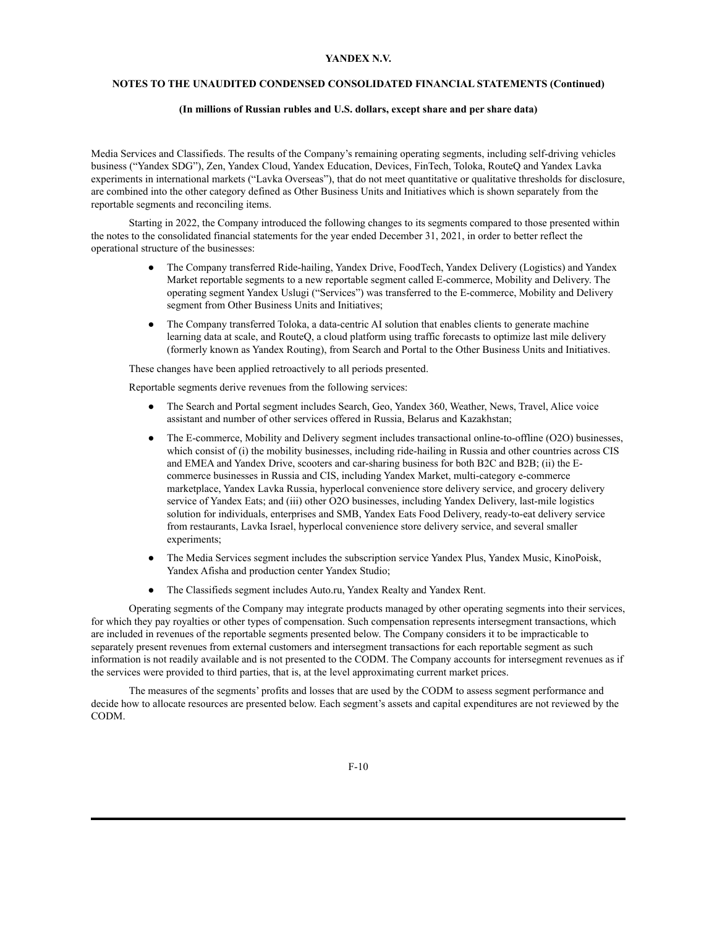# **NOTES TO THE UNAUDITED CONDENSED CONSOLIDATED FINANCIAL STATEMENTS (Continued)**

#### **(In millions of Russian rubles and U.S. dollars, except share and per share data)**

Media Services and Classifieds. The results of the Company's remaining operating segments, including self-driving vehicles business ("Yandex SDG"), Zen, Yandex Cloud, Yandex Education, Devices, FinTech, Toloka, RouteQ and Yandex Lavka experiments in international markets ("Lavka Overseas"), that do not meet quantitative or qualitative thresholds for disclosure, are combined into the other category defined as Other Business Units and Initiatives which is shown separately from the reportable segments and reconciling items.

Starting in 2022, the Company introduced the following changes to its segments compared to those presented within the notes to the consolidated financial statements for the year ended December 31, 2021, in order to better reflect the operational structure of the businesses:

- The Company transferred Ride-hailing, Yandex Drive, FoodTech, Yandex Delivery (Logistics) and Yandex Market reportable segments to a new reportable segment called E-commerce, Mobility and Delivery. The operating segment Yandex Uslugi ("Services") was transferred to the E-commerce, Mobility and Delivery segment from Other Business Units and Initiatives;
- The Company transferred Toloka, a data-centric AI solution that enables clients to generate machine learning data at scale, and RouteQ, a cloud platform using traffic forecasts to optimize last mile delivery (formerly known as Yandex Routing), from Search and Portal to the Other Business Units and Initiatives.

These changes have been applied retroactively to all periods presented.

Reportable segments derive revenues from the following services:

- The Search and Portal segment includes Search, Geo, Yandex 360, Weather, News, Travel, Alice voice assistant and number of other services offered in Russia, Belarus and Kazakhstan;
- The E-commerce, Mobility and Delivery segment includes transactional online-to-offline (O2O) businesses, which consist of (i) the mobility businesses, including ride-hailing in Russia and other countries across CIS and EMEA and Yandex Drive, scooters and car-sharing business for both B2C and B2B; (ii) the Ecommerce businesses in Russia and CIS, including Yandex Market, multi-category e-commerce marketplace, Yandex Lavka Russia, hyperlocal convenience store delivery service, and grocery delivery service of Yandex Eats; and (iii) other O2O businesses, including Yandex Delivery, last-mile logistics solution for individuals, enterprises and SMB, Yandex Eats Food Delivery, ready-to-eat delivery service from restaurants, Lavka Israel, hyperlocal convenience store delivery service, and several smaller experiments;
- The Media Services segment includes the subscription service Yandex Plus, Yandex Music, KinoPoisk, Yandex Afisha and production center Yandex Studio;
- The Classifieds segment includes Auto.ru, Yandex Realty and Yandex Rent.

Operating segments of the Company may integrate products managed by other operating segments into their services, for which they pay royalties or other types of compensation. Such compensation represents intersegment transactions, which are included in revenues of the reportable segments presented below. The Company considers it to be impracticable to separately present revenues from external customers and intersegment transactions for each reportable segment as such information is not readily available and is not presented to the CODM. The Company accounts for intersegment revenues as if the services were provided to third parties, that is, at the level approximating current market prices.

The measures of the segments' profits and losses that are used by the CODM to assess segment performance and decide how to allocate resources are presented below. Each segment's assets and capital expenditures are not reviewed by the CODM.